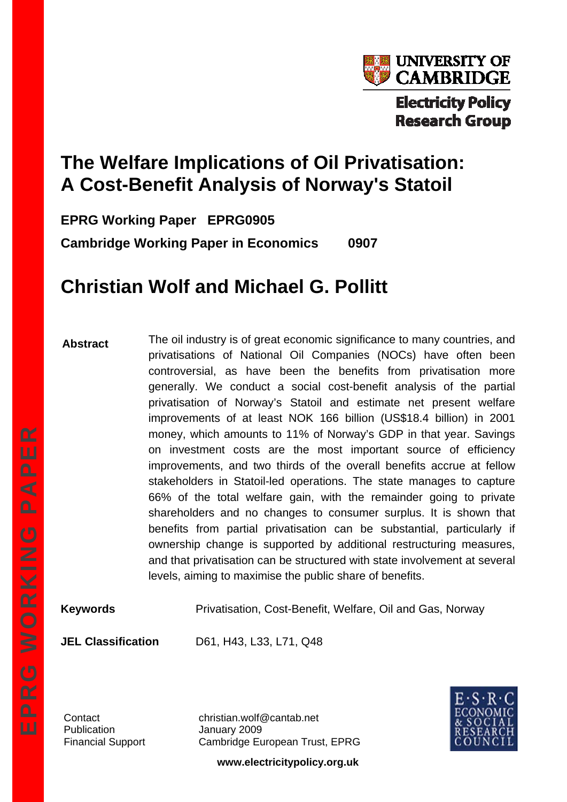

# **The Welfare Implications of Oil Privatisation: A Cost-Benefit Analysis of Norway's Statoil**

**EPRG Working Paper EPRG0905** 

**Cambridge Working Paper in Economics 0907** 

# **Christian Wolf and Michael G. Pollitt**

**Abstract**  The oil industry is of great economic significance to many countries, and privatisations of National Oil Companies (NOCs) have often been controversial, as have been the benefits from privatisation more generally. We conduct a social cost-benefit analysis of the partial privatisation of Norway's Statoil and estimate net present welfare improvements of at least NOK 166 billion (US\$18.4 billion) in 2001 money, which amounts to 11% of Norway's GDP in that year. Savings on investment costs are the most important source of efficiency improvements, and two thirds of the overall benefits accrue at fellow stakeholders in Statoil-led operations. The state manages to capture 66% of the total welfare gain, with the remainder going to private shareholders and no changes to consumer surplus. It is shown that benefits from partial privatisation can be substantial, particularly if ownership change is supported by additional restructuring measures, and that privatisation can be structured with state involvement at several levels, aiming to maximise the public share of benefits.

**Keywords** Privatisation, Cost-Benefit, Welfare, Oil and Gas, Norway

**JEL Classification** D61, H43, L33, L71, Q48

Publication January 2009

Contact christian.wolf@cantab.net Financial Support Cambridge European Trust, EPRG



**www.electricitypolicy.org.uk**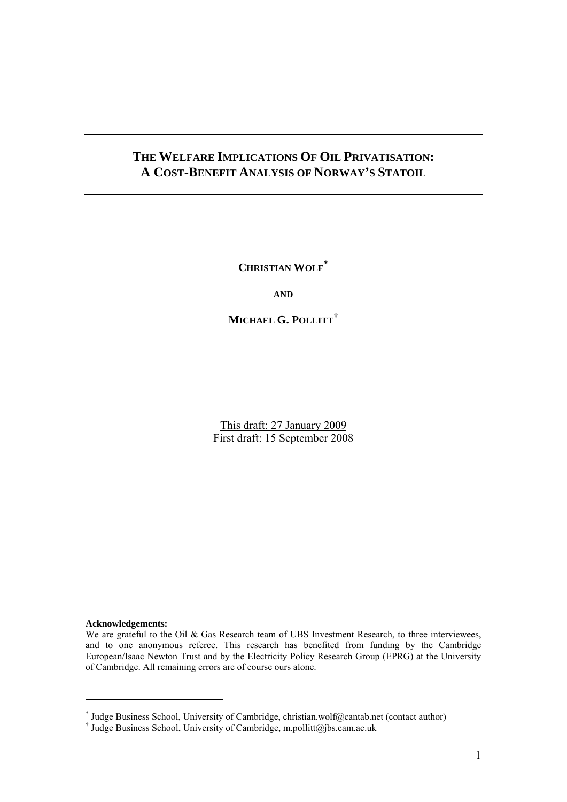## **THE WELFARE IMPLICATIONS OF OIL PRIVATISATION: A COST-BENEFIT ANALYSIS OF NORWAY'S STATOIL**

**CHRISTIAN WOLF[\\*](#page-1-0)**

**AND**

**MICHAEL G. POLLITT[†](#page-1-1)**

This draft: 27 January 2009 First draft: 15 September 2008

#### **Acknowledgements:**

 $\overline{a}$ 

We are grateful to the Oil & Gas Research team of UBS Investment Research, to three interviewees, and to one anonymous referee. This research has benefited from funding by the Cambridge European/Isaac Newton Trust and by the Electricity Policy Research Group (EPRG) at the University of Cambridge. All remaining errors are of course ours alone.

<span id="page-1-0"></span><sup>\*</sup> Judge Business School, University of Cambridge, christian.wolf@cantab.net (contact author)

<span id="page-1-1"></span><sup>†</sup> Judge Business School, University of Cambridge, m.pollitt@[jbs.cam.ac.uk](mailto:c.wolf@jbs.cam.ac.uk)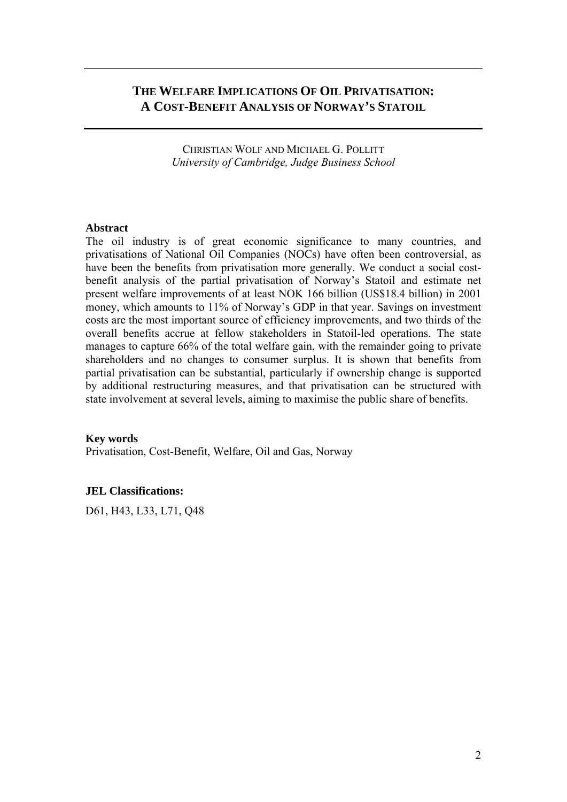## **THE WELFARE IMPLICATIONS OF OIL PRIVATISATION: A COST-BENEFIT ANALYSIS OF NORWAY'S STATOIL**

CHRISTIAN WOLF AND MICHAEL G. POLLITT *University of Cambridge, Judge Business School*

#### **Abstract**

The oil industry is of great economic significance to many countries, and privatisations of National Oil Companies (NOCs) have often been controversial, as have been the benefits from privatisation more generally. We conduct a social costbenefit analysis of the partial privatisation of Norway's Statoil and estimate net present welfare improvements of at least NOK 166 billion (US\$18.4 billion) in 2001 money, which amounts to 11% of Norway's GDP in that year. Savings on investment costs are the most important source of efficiency improvements, and two thirds of the overall benefits accrue at fellow stakeholders in Statoil-led operations. The state manages to capture 66% of the total welfare gain, with the remainder going to private shareholders and no changes to consumer surplus. It is shown that benefits from partial privatisation can be substantial, particularly if ownership change is supported by additional restructuring measures, and that privatisation can be structured with state involvement at several levels, aiming to maximise the public share of benefits.

#### **Key words**

Privatisation, Cost-Benefit, Welfare, Oil and Gas, Norway

#### **JEL Classifications:**

D61, H43, L33, L71, Q48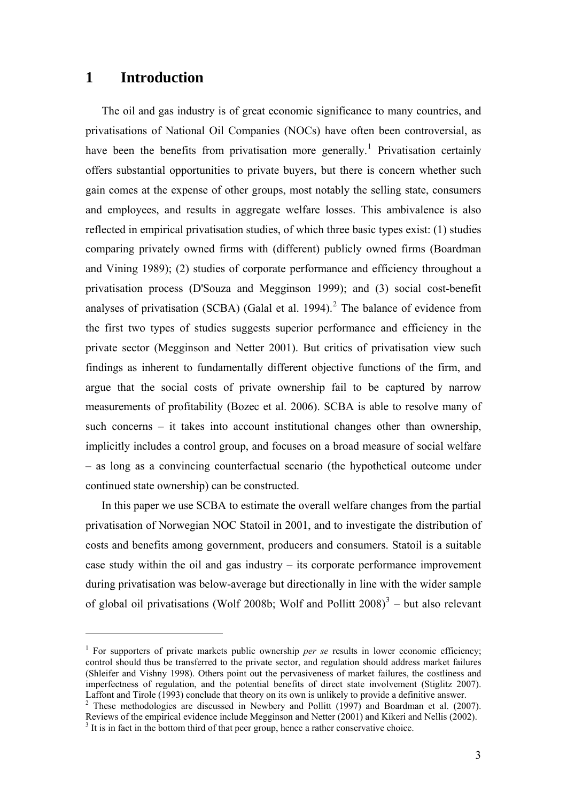## **1 Introduction**

 $\overline{a}$ 

The oil and gas industry is of great economic significance to many countries, and privatisations of National Oil Companies (NOCs) have often been controversial, as have been the benefits from privatisation more generally.<sup>[1](#page-3-0)</sup> Privatisation certainly offers substantial opportunities to private buyers, but there is concern whether such gain comes at the expense of other groups, most notably the selling state, consumers and employees, and results in aggregate welfare losses. This ambivalence is also reflected in empirical privatisation studies, of which three basic types exist: (1) studies comparing privately owned firms with (different) publicly owned firms (Boardman and Vining 1989); (2) studies of corporate performance and efficiency throughout a privatisation process (D'Souza and Megginson 1999); and (3) social cost-benefit analyses of privatisation (SCBA) (Galal et al. 1994).<sup>[2](#page-3-1)</sup> The balance of evidence from the first two types of studies suggests superior performance and efficiency in the private sector (Megginson and Netter 2001). But critics of privatisation view such findings as inherent to fundamentally different objective functions of the firm, and argue that the social costs of private ownership fail to be captured by narrow measurements of profitability (Bozec et al. 2006). SCBA is able to resolve many of such concerns – it takes into account institutional changes other than ownership, implicitly includes a control group, and focuses on a broad measure of social welfare – as long as a convincing counterfactual scenario (the hypothetical outcome under continued state ownership) can be constructed.

In this paper we use SCBA to estimate the overall welfare changes from the partial privatisation of Norwegian NOC Statoil in 2001, and to investigate the distribution of costs and benefits among government, producers and consumers. Statoil is a suitable case study within the oil and gas industry – its corporate performance improvement during privatisation was below-average but directionally in line with the wider sample of global oil privatisations (Wolf 2008b; Wolf and Pollitt  $2008$ )<sup>[3](#page-3-2)</sup> – but also relevant

<span id="page-3-0"></span><sup>&</sup>lt;sup>1</sup> For supporters of private markets public ownership *per se* results in lower economic efficiency; control should thus be transferred to the private sector, and regulation should address market failures (Shleifer and Vishny 1998). Others point out the pervasiveness of market failures, the costliness and imperfectness of regulation, and the potential benefits of direct state involvement (Stiglitz 2007). Laffont and Tirole (1993) conclude that theory on its own is unlikely to provide a definitive answer.

<span id="page-3-2"></span><span id="page-3-1"></span><sup>&</sup>lt;sup>2</sup> These methodologies are discussed in Newbery and Pollitt (1997) and Boardman et al. (2007). Reviews of the empirical evidence include Megginson and Netter (2001) and Kikeri and Nellis (2002). <sup>3</sup> It is in fact in the bottom third of that peer group, hence a rather conservative choice.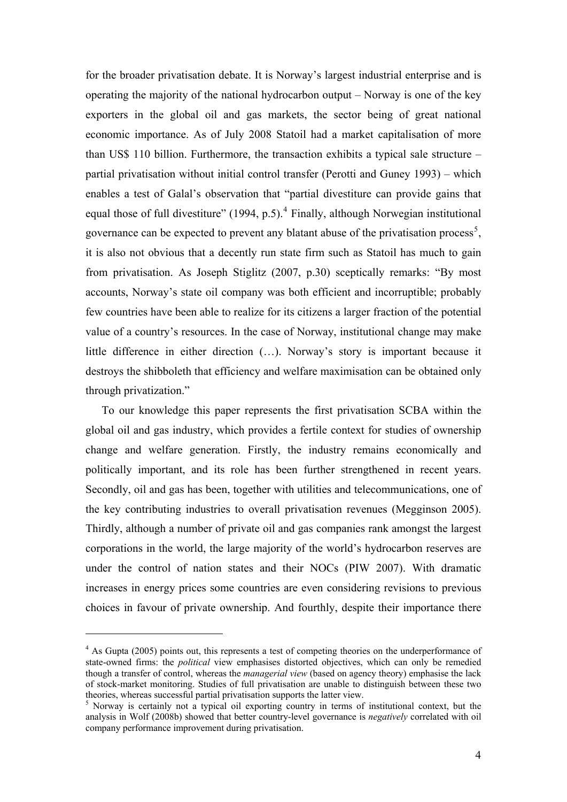<span id="page-4-0"></span>for the broader privatisation debate. It is Norway's largest industrial enterprise and is operating the majority of the national hydrocarbon output – Norway is one of the key exporters in the global oil and gas markets, the sector being of great national economic importance. As of July 2008 Statoil had a market capitalisation of more than US\$ 110 billion. Furthermore, the transaction exhibits a typical sale structure – partial privatisation without initial control transfer (Perotti and Guney 1993) – which enables a test of Galal's observation that "partial divestiture can provide gains that equal those of full divestiture"  $(1994, p.5)$  $(1994, p.5)$  $(1994, p.5)$ .<sup>4</sup> Finally, although Norwegian institutional governance can be expected to prevent any blatant abuse of the privatisation process<sup>[5](#page-4-0)</sup>, it is also not obvious that a decently run state firm such as Statoil has much to gain from privatisation. As Joseph Stiglitz (2007, p.30) sceptically remarks: "By most accounts, Norway's state oil company was both efficient and incorruptible; probably few countries have been able to realize for its citizens a larger fraction of the potential value of a country's resources. In the case of Norway, institutional change may make little difference in either direction (…). Norway's story is important because it destroys the shibboleth that efficiency and welfare maximisation can be obtained only through privatization."

To our knowledge this paper represents the first privatisation SCBA within the global oil and gas industry, which provides a fertile context for studies of ownership change and welfare generation. Firstly, the industry remains economically and politically important, and its role has been further strengthened in recent years. Secondly, oil and gas has been, together with utilities and telecommunications, one of the key contributing industries to overall privatisation revenues (Megginson 2005). Thirdly, although a number of private oil and gas companies rank amongst the largest corporations in the world, the large majority of the world's hydrocarbon reserves are under the control of nation states and their NOCs (PIW 2007). With dramatic increases in energy prices some countries are even considering revisions to previous choices in favour of private ownership. And fourthly, despite their importance there

<sup>&</sup>lt;sup>4</sup> As Gupta (2005) points out, this represents a test of competing theories on the underperformance of state-owned firms: the *political* view emphasises distorted objectives, which can only be remedied though a transfer of control, whereas the *managerial view* (based on agency theory) emphasise the lack of stock-market monitoring. Studies of full privatisation are unable to distinguish between these two theories, whereas successful partial privatisation supports the latter view.

<sup>&</sup>lt;sup>5</sup> Norway is certainly not a typical oil exporting country in terms of institutional context, but the analysis in Wolf (2008b) showed that better country-level governance is *negatively* correlated with oil company performance improvement during privatisation.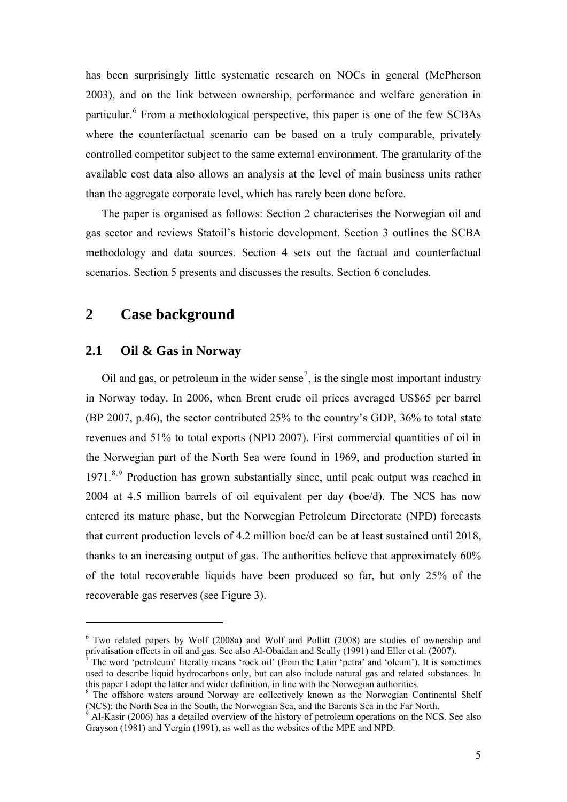<span id="page-5-0"></span>has been surprisingly little systematic research on NOCs in general (McPherson 2003), and on the link between ownership, performance and welfare generation in particular.<sup>[6](#page-5-0)</sup> From a methodological perspective, this paper is one of the few SCBAs where the counterfactual scenario can be based on a truly comparable, privately controlled competitor subject to the same external environment. The granularity of the available cost data also allows an analysis at the level of main business units rather than the aggregate corporate level, which has rarely been done before.

The paper is organised as follows: Section 2 characterises the Norwegian oil and gas sector and reviews Statoil's historic development. Section 3 outlines the SCBA methodology and data sources. Section 4 sets out the factual and counterfactual scenarios. Section 5 presents and discusses the results. Section 6 concludes.

## **2 Case background**

## **2.1 Oil & Gas in Norway**

 $\overline{a}$ 

Oil and gas, or petroleum in the wider sense<sup>[7](#page-5-0)</sup>, is the single most important industry in Norway today. In 2006, when Brent crude oil prices averaged US\$65 per barrel (BP 2007, p.46), the sector contributed 25% to the country's GDP, 36% to total state revenues and 51% to total exports (NPD 2007). First commercial quantities of oil in the Norwegian part of the North Sea were found in 1969, and production started in 1971.<sup>[8](#page-5-0),[9](#page-5-0)</sup> Production has grown substantially since, until peak output was reached in 2004 at 4.5 million barrels of oil equivalent per day (boe/d). The NCS has now entered its mature phase, but the Norwegian Petroleum Directorate (NPD) forecasts that current production levels of 4.2 million boe/d can be at least sustained until 2018, thanks to an increasing output of gas. The authorities believe that approximately 60% of the total recoverable liquids have been produced so far, but only 25% of the recoverable gas reserves (see Figure 3).

<sup>&</sup>lt;sup>6</sup> Two related papers by Wolf (2008a) and Wolf and Pollitt (2008) are studies of ownership and privatisation effects in oil and gas. See also Al-Obaidan and Scully (1991) and Eller et al. (2007).

<sup>7</sup> The word 'petroleum' literally means 'rock oil' (from the Latin 'petra' and 'oleum'). It is sometimes used to describe liquid hydrocarbons only, but can also include natural gas and related substances. In this paper I adopt the latter and wider definition, in line with the Norwegian authorities.

<sup>&</sup>lt;sup>8</sup> The offshore waters around Norway are collectively known as the Norwegian Continental Shelf (NCS): the North Sea in the South, the Norwegian Sea, and the Barents Sea in the Far North.

Al-Kasir (2006) has a detailed overview of the history of petroleum operations on the NCS. See also Grayson (1981) and Yergin (1991), as well as the websites of the MPE and NPD.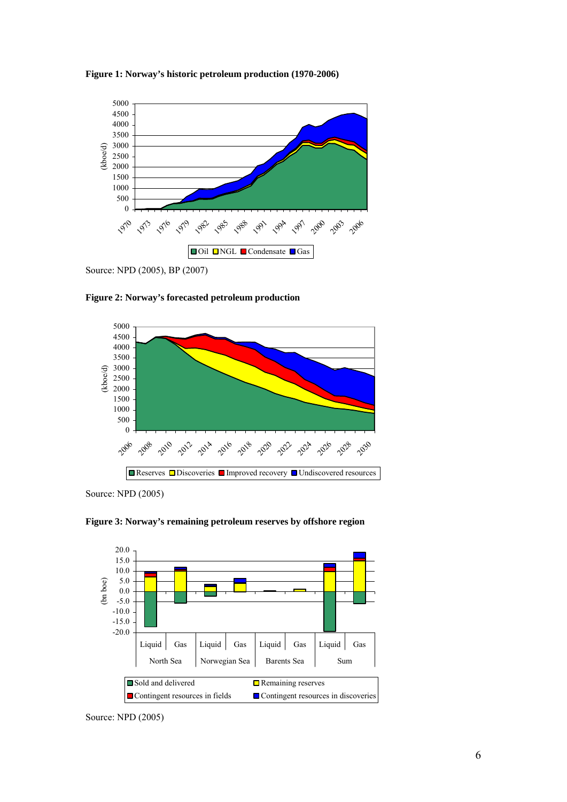



Source: NPD (2005), BP (2007)

**Figure 2: Norway's forecasted petroleum production** 



Source: NPD (2005)





Source: NPD (2005)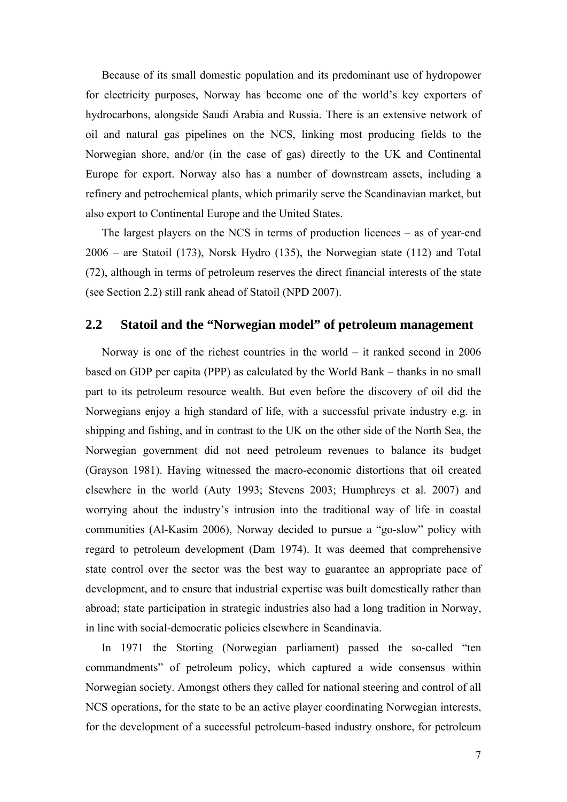Because of its small domestic population and its predominant use of hydropower for electricity purposes, Norway has become one of the world's key exporters of hydrocarbons, alongside Saudi Arabia and Russia. There is an extensive network of oil and natural gas pipelines on the NCS, linking most producing fields to the Norwegian shore, and/or (in the case of gas) directly to the UK and Continental Europe for export. Norway also has a number of downstream assets, including a refinery and petrochemical plants, which primarily serve the Scandinavian market, but also export to Continental Europe and the United States.

The largest players on the NCS in terms of production licences – as of year-end 2006 – are Statoil (173), Norsk Hydro (135), the Norwegian state (112) and Total (72), although in terms of petroleum reserves the direct financial interests of the state (see Section 2.2) still rank ahead of Statoil (NPD 2007).

## **2.2 Statoil and the "Norwegian model" of petroleum management**

Norway is one of the richest countries in the world – it ranked second in 2006 based on GDP per capita (PPP) as calculated by the World Bank – thanks in no small part to its petroleum resource wealth. But even before the discovery of oil did the Norwegians enjoy a high standard of life, with a successful private industry e.g. in shipping and fishing, and in contrast to the UK on the other side of the North Sea, the Norwegian government did not need petroleum revenues to balance its budget (Grayson 1981). Having witnessed the macro-economic distortions that oil created elsewhere in the world (Auty 1993; Stevens 2003; Humphreys et al. 2007) and worrying about the industry's intrusion into the traditional way of life in coastal communities (Al-Kasim 2006), Norway decided to pursue a "go-slow" policy with regard to petroleum development (Dam 1974). It was deemed that comprehensive state control over the sector was the best way to guarantee an appropriate pace of development, and to ensure that industrial expertise was built domestically rather than abroad; state participation in strategic industries also had a long tradition in Norway, in line with social-democratic policies elsewhere in Scandinavia.

In 1971 the Storting (Norwegian parliament) passed the so-called "ten commandments" of petroleum policy, which captured a wide consensus within Norwegian society. Amongst others they called for national steering and control of all NCS operations, for the state to be an active player coordinating Norwegian interests, for the development of a successful petroleum-based industry onshore, for petroleum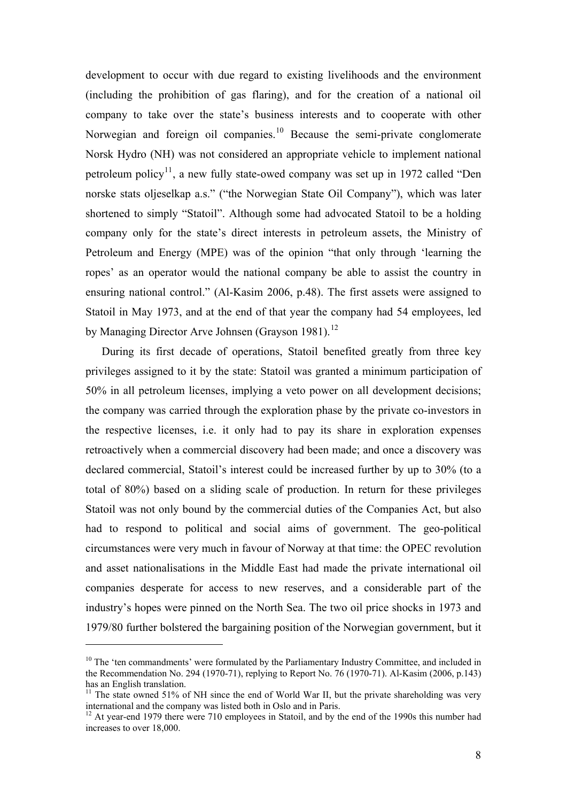<span id="page-8-0"></span>development to occur with due regard to existing livelihoods and the environment (including the prohibition of gas flaring), and for the creation of a national oil company to take over the state's business interests and to cooperate with other Norwegian and foreign oil companies.<sup>[10](#page-8-0)</sup> Because the semi-private conglomerate Norsk Hydro (NH) was not considered an appropriate vehicle to implement national petroleum policy<sup>[11](#page-8-0)</sup>, a new fully state-owed company was set up in 1972 called "Den norske stats oljeselkap a.s." ("the Norwegian State Oil Company"), which was later shortened to simply "Statoil". Although some had advocated Statoil to be a holding company only for the state's direct interests in petroleum assets, the Ministry of Petroleum and Energy (MPE) was of the opinion "that only through 'learning the ropes' as an operator would the national company be able to assist the country in ensuring national control." (Al-Kasim 2006, p.48). The first assets were assigned to Statoil in May 1973, and at the end of that year the company had 54 employees, led by Managing Director Arve Johnsen (Grayson 1981).<sup>[12](#page-8-0)</sup>

During its first decade of operations, Statoil benefited greatly from three key privileges assigned to it by the state: Statoil was granted a minimum participation of 50% in all petroleum licenses, implying a veto power on all development decisions; the company was carried through the exploration phase by the private co-investors in the respective licenses, i.e. it only had to pay its share in exploration expenses retroactively when a commercial discovery had been made; and once a discovery was declared commercial, Statoil's interest could be increased further by up to 30% (to a total of 80%) based on a sliding scale of production. In return for these privileges Statoil was not only bound by the commercial duties of the Companies Act, but also had to respond to political and social aims of government. The geo-political circumstances were very much in favour of Norway at that time: the OPEC revolution and asset nationalisations in the Middle East had made the private international oil companies desperate for access to new reserves, and a considerable part of the industry's hopes were pinned on the North Sea. The two oil price shocks in 1973 and 1979/80 further bolstered the bargaining position of the Norwegian government, but it

<sup>&</sup>lt;sup>10</sup> The 'ten commandments' were formulated by the Parliamentary Industry Committee, and included in the Recommendation No. 294 (1970-71), replying to Report No. 76 (1970-71). Al-Kasim (2006, p.143) has an English translation.

<sup>&</sup>lt;sup>11</sup> The state owned 51% of NH since the end of World War II, but the private shareholding was very international and the company was listed both in Oslo and in Paris.

<sup>&</sup>lt;sup>12</sup> At year-end 1979 there were 710 employees in Statoil, and by the end of the 1990s this number had increases to over 18,000.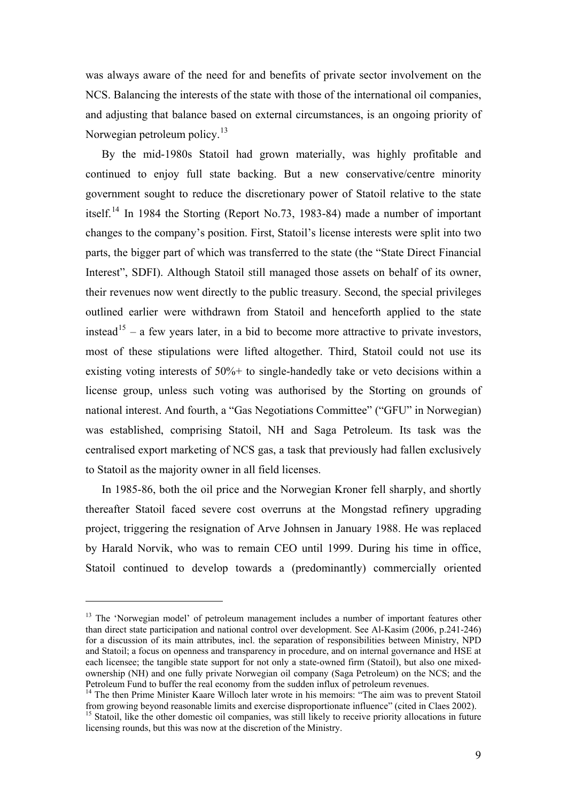<span id="page-9-0"></span>was always aware of the need for and benefits of private sector involvement on the NCS. Balancing the interests of the state with those of the international oil companies, and adjusting that balance based on external circumstances, is an ongoing priority of Norwegian petroleum policy.<sup>[13](#page-9-0)</sup>

By the mid-1980s Statoil had grown materially, was highly profitable and continued to enjoy full state backing. But a new conservative/centre minority government sought to reduce the discretionary power of Statoil relative to the state itself.<sup>[14](#page-9-0)</sup> In 1984 the Storting (Report No.73, 1983-84) made a number of important changes to the company's position. First, Statoil's license interests were split into two parts, the bigger part of which was transferred to the state (the "State Direct Financial Interest", SDFI). Although Statoil still managed those assets on behalf of its owner, their revenues now went directly to the public treasury. Second, the special privileges outlined earlier were withdrawn from Statoil and henceforth applied to the state instead<sup>[15](#page-9-0)</sup> – a few years later, in a bid to become more attractive to private investors, most of these stipulations were lifted altogether. Third, Statoil could not use its existing voting interests of 50%+ to single-handedly take or veto decisions within a license group, unless such voting was authorised by the Storting on grounds of national interest. And fourth, a "Gas Negotiations Committee" ("GFU" in Norwegian) was established, comprising Statoil, NH and Saga Petroleum. Its task was the centralised export marketing of NCS gas, a task that previously had fallen exclusively to Statoil as the majority owner in all field licenses.

In 1985-86, both the oil price and the Norwegian Kroner fell sharply, and shortly thereafter Statoil faced severe cost overruns at the Mongstad refinery upgrading project, triggering the resignation of Arve Johnsen in January 1988. He was replaced by Harald Norvik, who was to remain CEO until 1999. During his time in office, Statoil continued to develop towards a (predominantly) commercially oriented

<sup>&</sup>lt;sup>13</sup> The 'Norwegian model' of petroleum management includes a number of important features other than direct state participation and national control over development. See Al-Kasim (2006, p.241-246) for a discussion of its main attributes, incl. the separation of responsibilities between Ministry, NPD and Statoil; a focus on openness and transparency in procedure, and on internal governance and HSE at each licensee; the tangible state support for not only a state-owned firm (Statoil), but also one mixedownership (NH) and one fully private Norwegian oil company (Saga Petroleum) on the NCS; and the Petroleum Fund to buffer the real economy from the sudden influx of petroleum revenues.

<sup>&</sup>lt;sup>14</sup> The then Prime Minister Kaare Willoch later wrote in his memoirs: "The aim was to prevent Statoil" from growing beyond reasonable limits and exercise disproportionate influence" (cited in Claes 2002).

<sup>&</sup>lt;sup>15</sup> Statoil, like the other domestic oil companies, was still likely to receive priority allocations in future licensing rounds, but this was now at the discretion of the Ministry.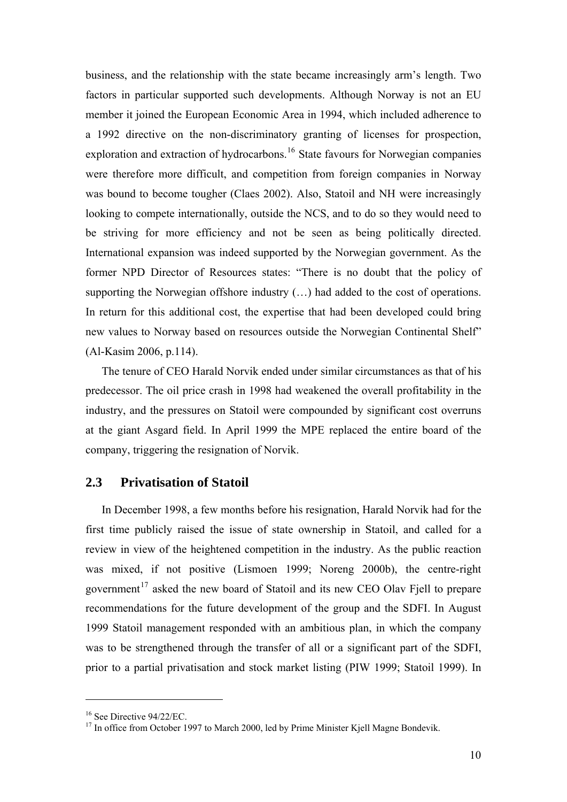<span id="page-10-0"></span>business, and the relationship with the state became increasingly arm's length. Two factors in particular supported such developments. Although Norway is not an EU member it joined the European Economic Area in 1994, which included adherence to a 1992 directive on the non-discriminatory granting of licenses for prospection, exploration and extraction of hydrocarbons.<sup>[16](#page-10-0)</sup> State favours for Norwegian companies were therefore more difficult, and competition from foreign companies in Norway was bound to become tougher (Claes 2002). Also, Statoil and NH were increasingly looking to compete internationally, outside the NCS, and to do so they would need to be striving for more efficiency and not be seen as being politically directed. International expansion was indeed supported by the Norwegian government. As the former NPD Director of Resources states: "There is no doubt that the policy of supporting the Norwegian offshore industry (…) had added to the cost of operations. In return for this additional cost, the expertise that had been developed could bring new values to Norway based on resources outside the Norwegian Continental Shelf" (Al-Kasim 2006, p.114).

The tenure of CEO Harald Norvik ended under similar circumstances as that of his predecessor. The oil price crash in 1998 had weakened the overall profitability in the industry, and the pressures on Statoil were compounded by significant cost overruns at the giant Asgard field. In April 1999 the MPE replaced the entire board of the company, triggering the resignation of Norvik.

## **2.3 Privatisation of Statoil**

In December 1998, a few months before his resignation, Harald Norvik had for the first time publicly raised the issue of state ownership in Statoil, and called for a review in view of the heightened competition in the industry. As the public reaction was mixed, if not positive (Lismoen 1999; Noreng 2000b), the centre-right government<sup>[17](#page-10-0)</sup> asked the new board of Statoil and its new CEO Olav Fiell to prepare recommendations for the future development of the group and the SDFI. In August 1999 Statoil management responded with an ambitious plan, in which the company was to be strengthened through the transfer of all or a significant part of the SDFI, prior to a partial privatisation and stock market listing (PIW 1999; Statoil 1999). In

 $16$  See Directive 94/22/EC.

<sup>&</sup>lt;sup>17</sup> In office from October 1997 to March 2000, led by Prime Minister Kjell Magne Bondevik.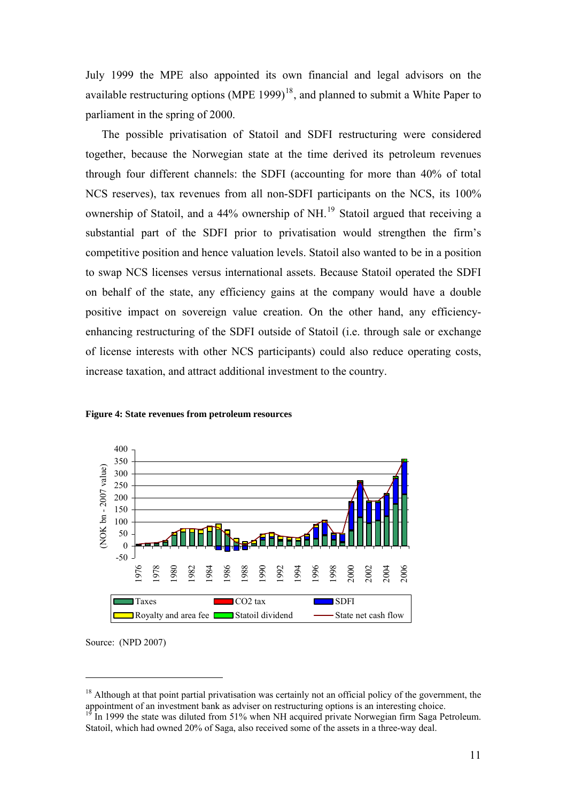<span id="page-11-0"></span>July 1999 the MPE also appointed its own financial and legal advisors on the available restructuring options (MPE 1999) $<sup>18</sup>$  $<sup>18</sup>$  $<sup>18</sup>$ , and planned to submit a White Paper to</sup> parliament in the spring of 2000.

The possible privatisation of Statoil and SDFI restructuring were considered together, because the Norwegian state at the time derived its petroleum revenues through four different channels: the SDFI (accounting for more than 40% of total NCS reserves), tax revenues from all non-SDFI participants on the NCS, its 100% ownership of Statoil, and a  $44\%$  ownership of NH.<sup>[19](#page-11-0)</sup> Statoil argued that receiving a substantial part of the SDFI prior to privatisation would strengthen the firm's competitive position and hence valuation levels. Statoil also wanted to be in a position to swap NCS licenses versus international assets. Because Statoil operated the SDFI on behalf of the state, any efficiency gains at the company would have a double positive impact on sovereign value creation. On the other hand, any efficiencyenhancing restructuring of the SDFI outside of Statoil (i.e. through sale or exchange of license interests with other NCS participants) could also reduce operating costs, increase taxation, and attract additional investment to the country.



**Figure 4: State revenues from petroleum resources** 

Source: (NPD 2007)

 $<sup>18</sup>$  Although at that point partial privatisation was certainly not an official policy of the government, the</sup> appointment of an investment bank as adviser on restructuring options is an interesting choice.

<sup>19</sup> In 1999 the state was diluted from 51% when NH acquired private Norwegian firm Saga Petroleum. Statoil, which had owned 20% of Saga, also received some of the assets in a three-way deal.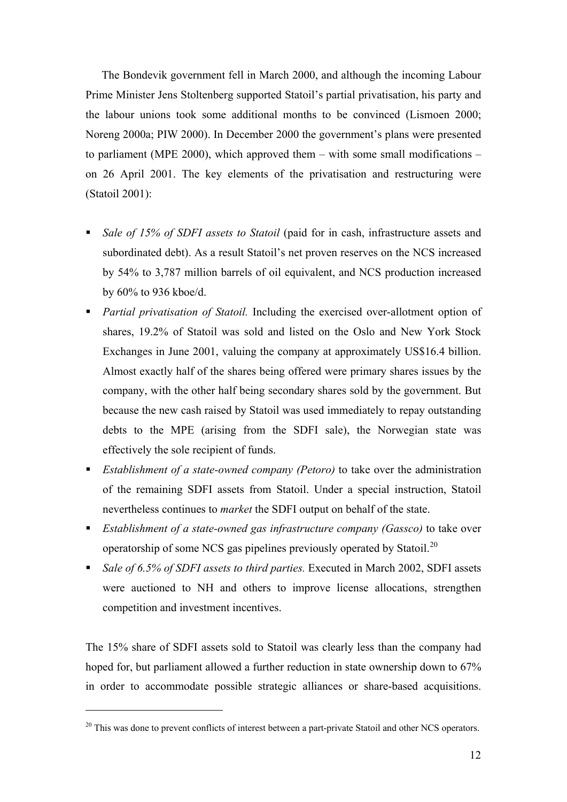<span id="page-12-0"></span>The Bondevik government fell in March 2000, and although the incoming Labour Prime Minister Jens Stoltenberg supported Statoil's partial privatisation, his party and the labour unions took some additional months to be convinced (Lismoen 2000; Noreng 2000a; PIW 2000). In December 2000 the government's plans were presented to parliament (MPE 2000), which approved them – with some small modifications – on 26 April 2001. The key elements of the privatisation and restructuring were (Statoil 2001):

- *Sale of 15% of SDFI assets to Statoil* (paid for in cash, infrastructure assets and subordinated debt). As a result Statoil's net proven reserves on the NCS increased by 54% to 3,787 million barrels of oil equivalent, and NCS production increased by 60% to 936 kboe/d.
- *Partial privatisation of Statoil.* Including the exercised over-allotment option of shares, 19.2% of Statoil was sold and listed on the Oslo and New York Stock Exchanges in June 2001, valuing the company at approximately US\$16.4 billion. Almost exactly half of the shares being offered were primary shares issues by the company, with the other half being secondary shares sold by the government. But because the new cash raised by Statoil was used immediately to repay outstanding debts to the MPE (arising from the SDFI sale), the Norwegian state was effectively the sole recipient of funds.
- *Establishment of a state-owned company (Petoro)* to take over the administration of the remaining SDFI assets from Statoil. Under a special instruction, Statoil nevertheless continues to *market* the SDFI output on behalf of the state.
- *Establishment of a state-owned gas infrastructure company (Gassco)* to take over operatorship of some NCS gas pipelines previously operated by Statoil.<sup>[20](#page-12-0)</sup>
- *Sale of 6.5% of SDFI assets to third parties.* Executed in March 2002, SDFI assets were auctioned to NH and others to improve license allocations, strengthen competition and investment incentives.

The 15% share of SDFI assets sold to Statoil was clearly less than the company had hoped for, but parliament allowed a further reduction in state ownership down to 67% in order to accommodate possible strategic alliances or share-based acquisitions.

<sup>&</sup>lt;sup>20</sup> This was done to prevent conflicts of interest between a part-private Statoil and other NCS operators.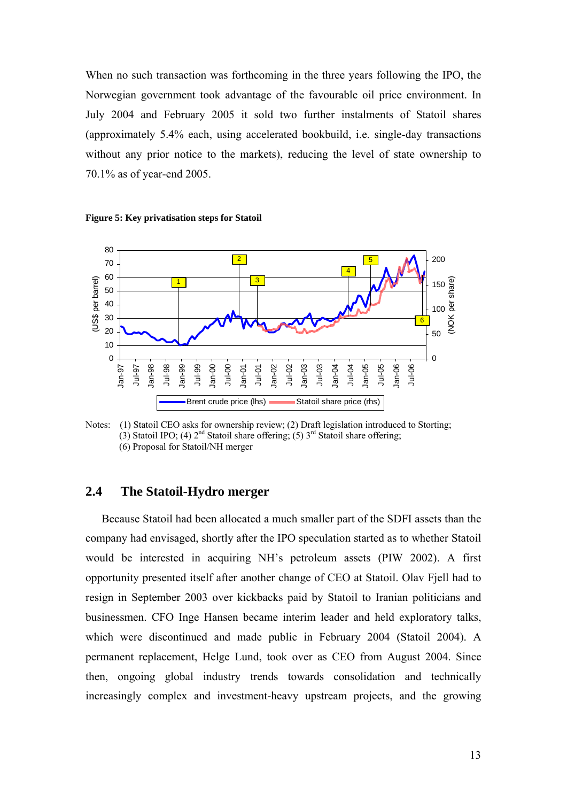When no such transaction was forthcoming in the three years following the IPO, the Norwegian government took advantage of the favourable oil price environment. In July 2004 and February 2005 it sold two further instalments of Statoil shares (approximately 5.4% each, using accelerated bookbuild, i.e. single-day transactions without any prior notice to the markets), reducing the level of state ownership to 70.1% as of year-end 2005.



**Figure 5: Key privatisation steps for Statoil** 

Notes: (1) Statoil CEO asks for ownership review; (2) Draft legislation introduced to Storting; (3) Statoil IPO; (4)  $2<sup>nd</sup>$  Statoil share offering; (5)  $3<sup>rd</sup>$  Statoil share offering; (6) Proposal for Statoil/NH merger

## **2.4 The Statoil-Hydro merger**

Because Statoil had been allocated a much smaller part of the SDFI assets than the company had envisaged, shortly after the IPO speculation started as to whether Statoil would be interested in acquiring NH's petroleum assets (PIW 2002). A first opportunity presented itself after another change of CEO at Statoil. Olav Fjell had to resign in September 2003 over kickbacks paid by Statoil to Iranian politicians and businessmen. CFO Inge Hansen became interim leader and held exploratory talks, which were discontinued and made public in February 2004 (Statoil 2004). A permanent replacement, Helge Lund, took over as CEO from August 2004. Since then, ongoing global industry trends towards consolidation and technically increasingly complex and investment-heavy upstream projects, and the growing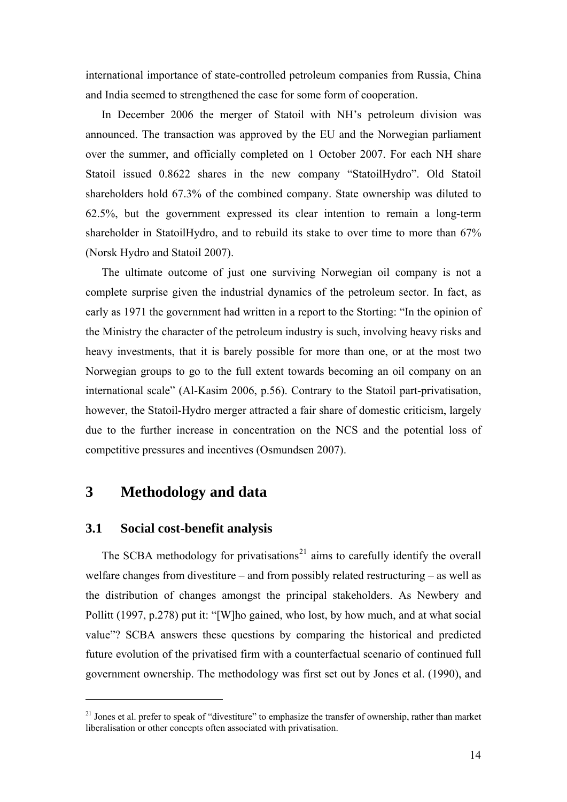<span id="page-14-0"></span>international importance of state-controlled petroleum companies from Russia, China and India seemed to strengthened the case for some form of cooperation.

In December 2006 the merger of Statoil with NH's petroleum division was announced. The transaction was approved by the EU and the Norwegian parliament over the summer, and officially completed on 1 October 2007. For each NH share Statoil issued 0.8622 shares in the new company "StatoilHydro". Old Statoil shareholders hold 67.3% of the combined company. State ownership was diluted to 62.5%, but the government expressed its clear intention to remain a long-term shareholder in StatoilHydro, and to rebuild its stake to over time to more than 67% (Norsk Hydro and Statoil 2007).

The ultimate outcome of just one surviving Norwegian oil company is not a complete surprise given the industrial dynamics of the petroleum sector. In fact, as early as 1971 the government had written in a report to the Storting: "In the opinion of the Ministry the character of the petroleum industry is such, involving heavy risks and heavy investments, that it is barely possible for more than one, or at the most two Norwegian groups to go to the full extent towards becoming an oil company on an international scale" (Al-Kasim 2006, p.56). Contrary to the Statoil part-privatisation, however, the Statoil-Hydro merger attracted a fair share of domestic criticism, largely due to the further increase in concentration on the NCS and the potential loss of competitive pressures and incentives (Osmundsen 2007).

## **3 Methodology and data**

### **3.1 Social cost-benefit analysis**

 $\overline{a}$ 

The SCBA methodology for privatisations<sup>[21](#page-14-0)</sup> aims to carefully identify the overall welfare changes from divestiture – and from possibly related restructuring – as well as the distribution of changes amongst the principal stakeholders. As Newbery and Pollitt (1997, p.278) put it: "[W]ho gained, who lost, by how much, and at what social value"? SCBA answers these questions by comparing the historical and predicted future evolution of the privatised firm with a counterfactual scenario of continued full government ownership. The methodology was first set out by Jones et al. (1990), and

 $21$  Jones et al. prefer to speak of "divestiture" to emphasize the transfer of ownership, rather than market liberalisation or other concepts often associated with privatisation.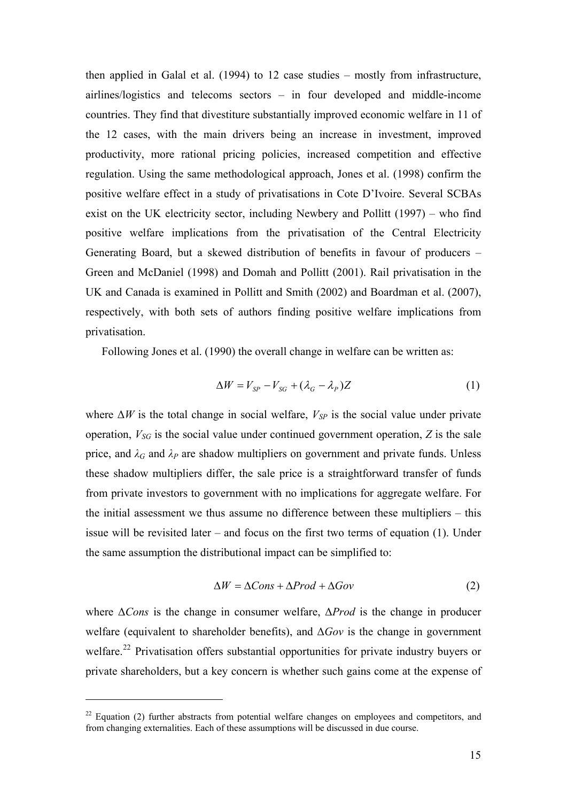<span id="page-15-0"></span>then applied in Galal et al. (1994) to 12 case studies – mostly from infrastructure, airlines/logistics and telecoms sectors – in four developed and middle-income countries. They find that divestiture substantially improved economic welfare in 11 of the 12 cases, with the main drivers being an increase in investment, improved productivity, more rational pricing policies, increased competition and effective regulation. Using the same methodological approach, Jones et al. (1998) confirm the positive welfare effect in a study of privatisations in Cote D'Ivoire. Several SCBAs exist on the UK electricity sector, including Newbery and Pollitt (1997) – who find positive welfare implications from the privatisation of the Central Electricity Generating Board, but a skewed distribution of benefits in favour of producers – Green and McDaniel (1998) and Domah and Pollitt (2001). Rail privatisation in the UK and Canada is examined in Pollitt and Smith (2002) and Boardman et al. (2007), respectively, with both sets of authors finding positive welfare implications from privatisation.

Following Jones et al. (1990) the overall change in welfare can be written as:

$$
\Delta W = V_{SP} - V_{SG} + (\lambda_G - \lambda_P)Z \tag{1}
$$

where  $\Delta W$  is the total change in social welfare,  $V_{SP}$  is the social value under private operation,  $V_{SG}$  is the social value under continued government operation,  $Z$  is the sale price, and  $\lambda_G$  and  $\lambda_P$  are shadow multipliers on government and private funds. Unless these shadow multipliers differ, the sale price is a straightforward transfer of funds from private investors to government with no implications for aggregate welfare. For the initial assessment we thus assume no difference between these multipliers – this issue will be revisited later – and focus on the first two terms of equation (1). Under the same assumption the distributional impact can be simplified to:

$$
\Delta W = \Delta Cons + \Delta Prod + \Delta Gov \tag{2}
$$

where Δ*Cons* is the change in consumer welfare, Δ*Prod* is the change in producer welfare (equivalent to shareholder benefits), and Δ*Gov* is the change in government welfare.<sup>[22](#page-15-0)</sup> Privatisation offers substantial opportunities for private industry buyers or private shareholders, but a key concern is whether such gains come at the expense of

 $22$  Equation (2) further abstracts from potential welfare changes on employees and competitors, and from changing externalities. Each of these assumptions will be discussed in due course.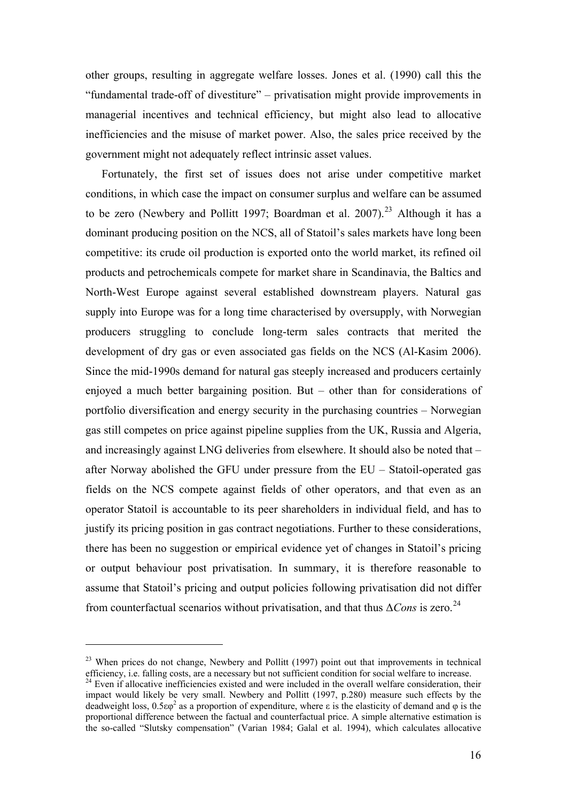<span id="page-16-0"></span>other groups, resulting in aggregate welfare losses. Jones et al. (1990) call this the "fundamental trade-off of divestiture" – privatisation might provide improvements in managerial incentives and technical efficiency, but might also lead to allocative inefficiencies and the misuse of market power. Also, the sales price received by the government might not adequately reflect intrinsic asset values.

Fortunately, the first set of issues does not arise under competitive market conditions, in which case the impact on consumer surplus and welfare can be assumed to be zero (Newbery and Pollitt 1997; Boardman et al.  $2007$ ).<sup>[23](#page-16-0)</sup> Although it has a dominant producing position on the NCS, all of Statoil's sales markets have long been competitive: its crude oil production is exported onto the world market, its refined oil products and petrochemicals compete for market share in Scandinavia, the Baltics and North-West Europe against several established downstream players. Natural gas supply into Europe was for a long time characterised by oversupply, with Norwegian producers struggling to conclude long-term sales contracts that merited the development of dry gas or even associated gas fields on the NCS (Al-Kasim 2006). Since the mid-1990s demand for natural gas steeply increased and producers certainly enjoyed a much better bargaining position. But – other than for considerations of portfolio diversification and energy security in the purchasing countries – Norwegian gas still competes on price against pipeline supplies from the UK, Russia and Algeria, and increasingly against LNG deliveries from elsewhere. It should also be noted that – after Norway abolished the GFU under pressure from the EU – Statoil-operated gas fields on the NCS compete against fields of other operators, and that even as an operator Statoil is accountable to its peer shareholders in individual field, and has to justify its pricing position in gas contract negotiations. Further to these considerations, there has been no suggestion or empirical evidence yet of changes in Statoil's pricing or output behaviour post privatisation. In summary, it is therefore reasonable to assume that Statoil's pricing and output policies following privatisation did not differ from counterfactual scenarios without privatisation, and that thus Δ*Cons* is zero.[24](#page-16-0)

 $^{23}$  When prices do not change, Newbery and Pollitt (1997) point out that improvements in technical efficiency, i.e. falling costs, are a necessary but not sufficient condition for social welfare to increase.

 $^{24}$  Even if allocative inefficiencies existed and were included in the overall welfare consideration, their impact would likely be very small. Newbery and Pollitt (1997, p.280) measure such effects by the deadweight loss,  $0.5\varepsilon\varphi^2$  as a proportion of expenditure, where  $\varepsilon$  is the elasticity of demand and  $\varphi$  is the proportional difference between the factual and counterfactual price. A simple alternative estimation is the so-called "Slutsky compensation" (Varian 1984; Galal et al. 1994), which calculates allocative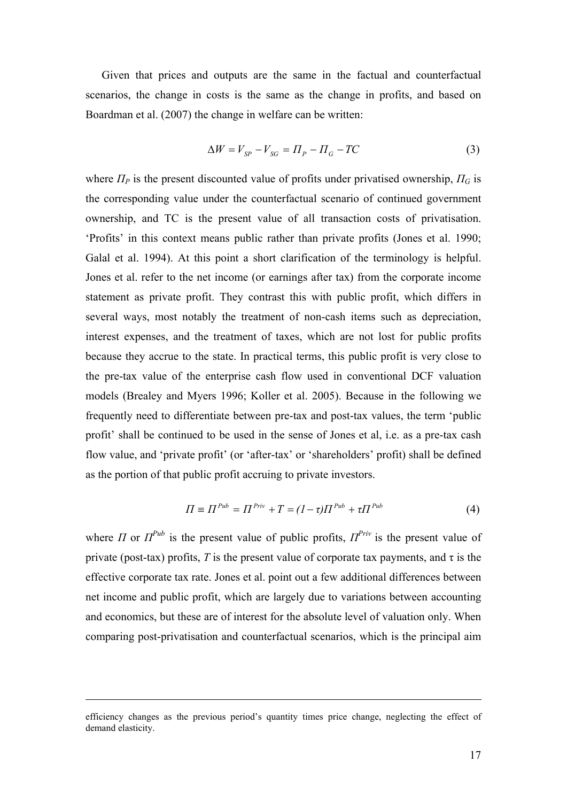Given that prices and outputs are the same in the factual and counterfactual scenarios, the change in costs is the same as the change in profits, and based on Boardman et al. (2007) the change in welfare can be written:

$$
\Delta W = V_{SP} - V_{SG} = \Pi_P - \Pi_G - TC \tag{3}
$$

where  $\Pi_P$  is the present discounted value of profits under privatised ownership,  $\Pi_G$  is the corresponding value under the counterfactual scenario of continued government ownership, and TC is the present value of all transaction costs of privatisation. 'Profits' in this context means public rather than private profits (Jones et al. 1990; Galal et al. 1994). At this point a short clarification of the terminology is helpful. Jones et al. refer to the net income (or earnings after tax) from the corporate income statement as private profit. They contrast this with public profit, which differs in several ways, most notably the treatment of non-cash items such as depreciation, interest expenses, and the treatment of taxes, which are not lost for public profits because they accrue to the state. In practical terms, this public profit is very close to the pre-tax value of the enterprise cash flow used in conventional DCF valuation models (Brealey and Myers 1996; Koller et al. 2005). Because in the following we frequently need to differentiate between pre-tax and post-tax values, the term 'public profit' shall be continued to be used in the sense of Jones et al, i.e. as a pre-tax cash flow value, and 'private profit' (or 'after-tax' or 'shareholders' profit) shall be defined as the portion of that public profit accruing to private investors.

$$
\Pi \equiv \Pi^{Pub} = \Pi^{Priv} + T = (1 - \tau)\Pi^{Pub} + \tau\Pi^{Pub}
$$
\n(4)

where *Π* or  $\Pi^{Pub}$  is the present value of public profits,  $\Pi^{Priv}$  is the present value of private (post-tax) profits, *T* is the present value of corporate tax payments, and  $\tau$  is the effective corporate tax rate. Jones et al. point out a few additional differences between net income and public profit, which are largely due to variations between accounting and economics, but these are of interest for the absolute level of valuation only. When comparing post-privatisation and counterfactual scenarios, which is the principal aim

1

efficiency changes as the previous period's quantity times price change, neglecting the effect of demand elasticity.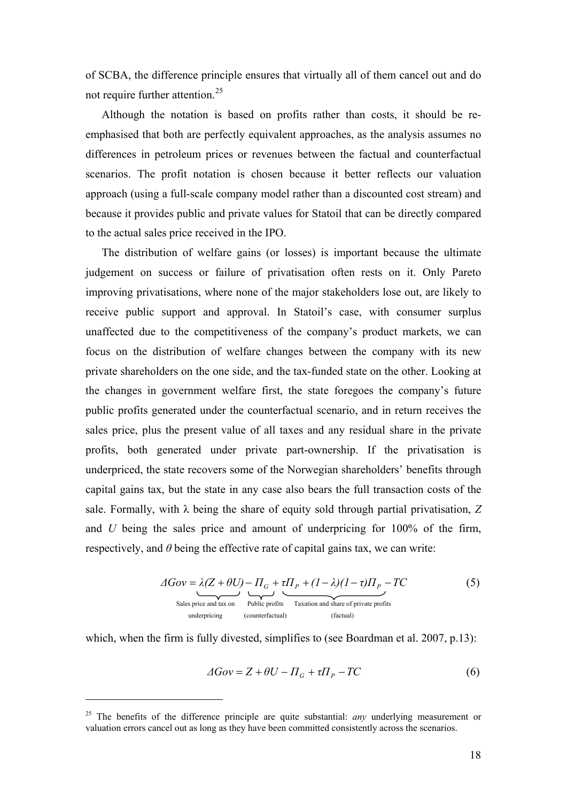<span id="page-18-0"></span>of SCBA, the difference principle ensures that virtually all of them cancel out and do not require further attention.<sup>[25](#page-18-0)</sup>

Although the notation is based on profits rather than costs, it should be reemphasised that both are perfectly equivalent approaches, as the analysis assumes no differences in petroleum prices or revenues between the factual and counterfactual scenarios. The profit notation is chosen because it better reflects our valuation approach (using a full-scale company model rather than a discounted cost stream) and because it provides public and private values for Statoil that can be directly compared to the actual sales price received in the IPO.

The distribution of welfare gains (or losses) is important because the ultimate judgement on success or failure of privatisation often rests on it. Only Pareto improving privatisations, where none of the major stakeholders lose out, are likely to receive public support and approval. In Statoil's case, with consumer surplus unaffected due to the competitiveness of the company's product markets, we can focus on the distribution of welfare changes between the company with its new private shareholders on the one side, and the tax-funded state on the other. Looking at the changes in government welfare first, the state foregoes the company's future public profits generated under the counterfactual scenario, and in return receives the sales price, plus the present value of all taxes and any residual share in the private profits, both generated under private part-ownership. If the privatisation is underpriced, the state recovers some of the Norwegian shareholders' benefits through capital gains tax, but the state in any case also bears the full transaction costs of the sale. Formally, with  $\lambda$  being the share of equity sold through partial privatisation,  $Z$ and *U* being the sales price and amount of underpricing for 100% of the firm, respectively, and *θ* being the effective rate of capital gains tax, we can write:

$$
\Delta Gov = \lambda (Z + \theta U) - \Pi_G + \tau \Pi_P + (1 - \lambda)(1 - \tau) \Pi_P - TC
$$
\nSales price and tax on  
\n<sub>underpricing</sub> (counterfactual) (factual) (

which, when the firm is fully divested, simplifies to (see Boardman et al. 2007, p.13):

$$
\Delta Gov = Z + \theta U - \Pi_G + \tau \Pi_P - TC \tag{6}
$$

<sup>&</sup>lt;sup>25</sup> The benefits of the difference principle are quite substantial: *any* underlying measurement or valuation errors cancel out as long as they have been committed consistently across the scenarios.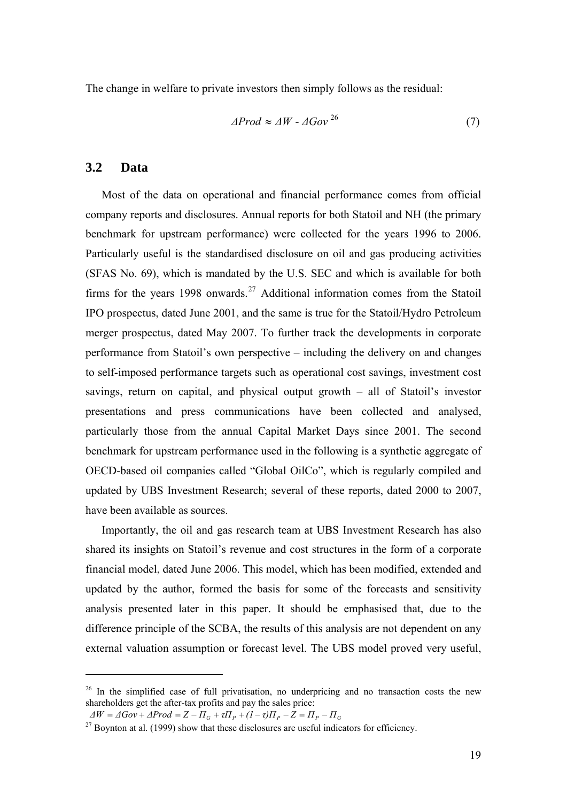<span id="page-19-0"></span>The change in welfare to private investors then simply follows as the residual:

$$
\Delta \text{Prod} \approx \Delta W - \Delta \text{Gov}^{26} \tag{7}
$$

## **3.2 Data**

 $\overline{a}$ 

Most of the data on operational and financial performance comes from official company reports and disclosures. Annual reports for both Statoil and NH (the primary benchmark for upstream performance) were collected for the years 1996 to 2006. Particularly useful is the standardised disclosure on oil and gas producing activities (SFAS No. 69), which is mandated by the U.S. SEC and which is available for both firms for the years 1998 onwards.<sup>[27](#page-19-0)</sup> Additional information comes from the Statoil IPO prospectus, dated June 2001, and the same is true for the Statoil/Hydro Petroleum merger prospectus, dated May 2007. To further track the developments in corporate performance from Statoil's own perspective – including the delivery on and changes to self-imposed performance targets such as operational cost savings, investment cost savings, return on capital, and physical output growth – all of Statoil's investor presentations and press communications have been collected and analysed, particularly those from the annual Capital Market Days since 2001. The second benchmark for upstream performance used in the following is a synthetic aggregate of OECD-based oil companies called "Global OilCo", which is regularly compiled and updated by UBS Investment Research; several of these reports, dated 2000 to 2007, have been available as sources.

Importantly, the oil and gas research team at UBS Investment Research has also shared its insights on Statoil's revenue and cost structures in the form of a corporate financial model, dated June 2006. This model, which has been modified, extended and updated by the author, formed the basis for some of the forecasts and sensitivity analysis presented later in this paper. It should be emphasised that, due to the difference principle of the SCBA, the results of this analysis are not dependent on any external valuation assumption or forecast level. The UBS model proved very useful,

<sup>&</sup>lt;sup>26</sup> In the simplified case of full privatisation, no underpricing and no transaction costs the new shareholders get the after-tax profits and pay the sales price:

 $\Delta W = \Delta Gov + \Delta Prod = Z - \Pi_G + \tau \Pi_P + (I - \tau) \Pi_P - Z = \Pi_P - \Pi_G$ 

 $27$  Boynton at al. (1999) show that these disclosures are useful indicators for efficiency.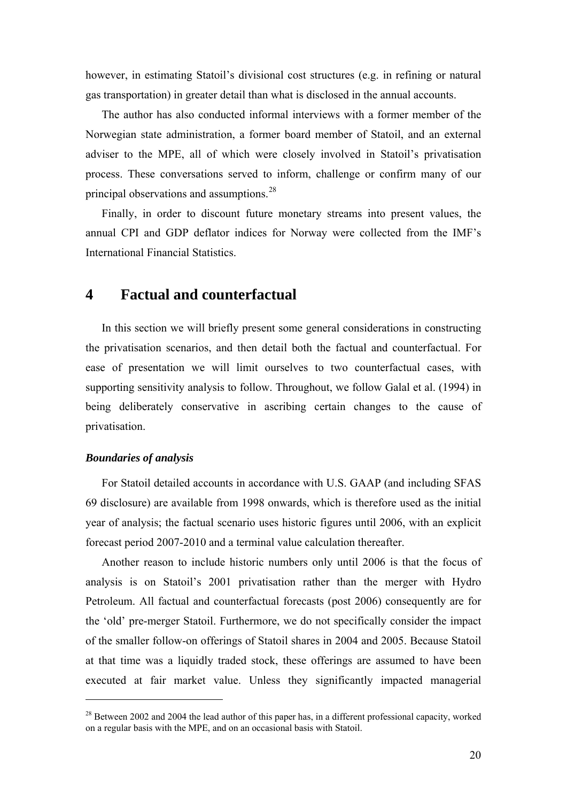<span id="page-20-0"></span>however, in estimating Statoil's divisional cost structures (e.g. in refining or natural gas transportation) in greater detail than what is disclosed in the annual accounts.

The author has also conducted informal interviews with a former member of the Norwegian state administration, a former board member of Statoil, and an external adviser to the MPE, all of which were closely involved in Statoil's privatisation process. These conversations served to inform, challenge or confirm many of our principal observations and assumptions.<sup>[28](#page-20-0)</sup>

Finally, in order to discount future monetary streams into present values, the annual CPI and GDP deflator indices for Norway were collected from the IMF's International Financial Statistics.

## **4 Factual and counterfactual**

In this section we will briefly present some general considerations in constructing the privatisation scenarios, and then detail both the factual and counterfactual. For ease of presentation we will limit ourselves to two counterfactual cases, with supporting sensitivity analysis to follow. Throughout, we follow Galal et al. (1994) in being deliberately conservative in ascribing certain changes to the cause of privatisation.

#### *Boundaries of analysis*

 $\overline{a}$ 

For Statoil detailed accounts in accordance with U.S. GAAP (and including SFAS 69 disclosure) are available from 1998 onwards, which is therefore used as the initial year of analysis; the factual scenario uses historic figures until 2006, with an explicit forecast period 2007-2010 and a terminal value calculation thereafter.

Another reason to include historic numbers only until 2006 is that the focus of analysis is on Statoil's 2001 privatisation rather than the merger with Hydro Petroleum. All factual and counterfactual forecasts (post 2006) consequently are for the 'old' pre-merger Statoil. Furthermore, we do not specifically consider the impact of the smaller follow-on offerings of Statoil shares in 2004 and 2005. Because Statoil at that time was a liquidly traded stock, these offerings are assumed to have been executed at fair market value. Unless they significantly impacted managerial

<sup>&</sup>lt;sup>28</sup> Between 2002 and 2004 the lead author of this paper has, in a different professional capacity, worked on a regular basis with the MPE, and on an occasional basis with Statoil.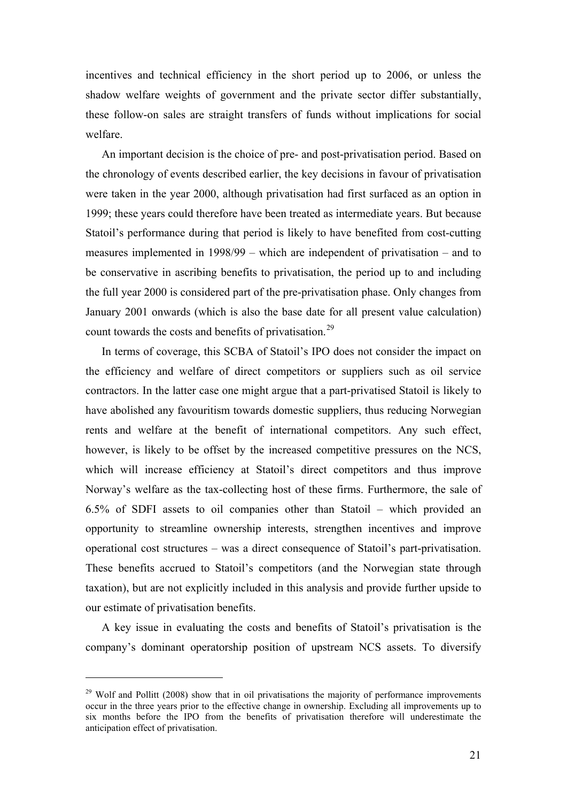<span id="page-21-0"></span>incentives and technical efficiency in the short period up to 2006, or unless the shadow welfare weights of government and the private sector differ substantially, these follow-on sales are straight transfers of funds without implications for social welfare.

An important decision is the choice of pre- and post-privatisation period. Based on the chronology of events described earlier, the key decisions in favour of privatisation were taken in the year 2000, although privatisation had first surfaced as an option in 1999; these years could therefore have been treated as intermediate years. But because Statoil's performance during that period is likely to have benefited from cost-cutting measures implemented in 1998/99 – which are independent of privatisation – and to be conservative in ascribing benefits to privatisation, the period up to and including the full year 2000 is considered part of the pre-privatisation phase. Only changes from January 2001 onwards (which is also the base date for all present value calculation) count towards the costs and benefits of privatisation.[29](#page-21-0)

In terms of coverage, this SCBA of Statoil's IPO does not consider the impact on the efficiency and welfare of direct competitors or suppliers such as oil service contractors. In the latter case one might argue that a part-privatised Statoil is likely to have abolished any favouritism towards domestic suppliers, thus reducing Norwegian rents and welfare at the benefit of international competitors. Any such effect, however, is likely to be offset by the increased competitive pressures on the NCS, which will increase efficiency at Statoil's direct competitors and thus improve Norway's welfare as the tax-collecting host of these firms. Furthermore, the sale of 6.5% of SDFI assets to oil companies other than Statoil – which provided an opportunity to streamline ownership interests, strengthen incentives and improve operational cost structures – was a direct consequence of Statoil's part-privatisation. These benefits accrued to Statoil's competitors (and the Norwegian state through taxation), but are not explicitly included in this analysis and provide further upside to our estimate of privatisation benefits.

A key issue in evaluating the costs and benefits of Statoil's privatisation is the company's dominant operatorship position of upstream NCS assets. To diversify

 $29$  Wolf and Pollitt (2008) show that in oil privatisations the majority of performance improvements occur in the three years prior to the effective change in ownership. Excluding all improvements up to six months before the IPO from the benefits of privatisation therefore will underestimate the anticipation effect of privatisation.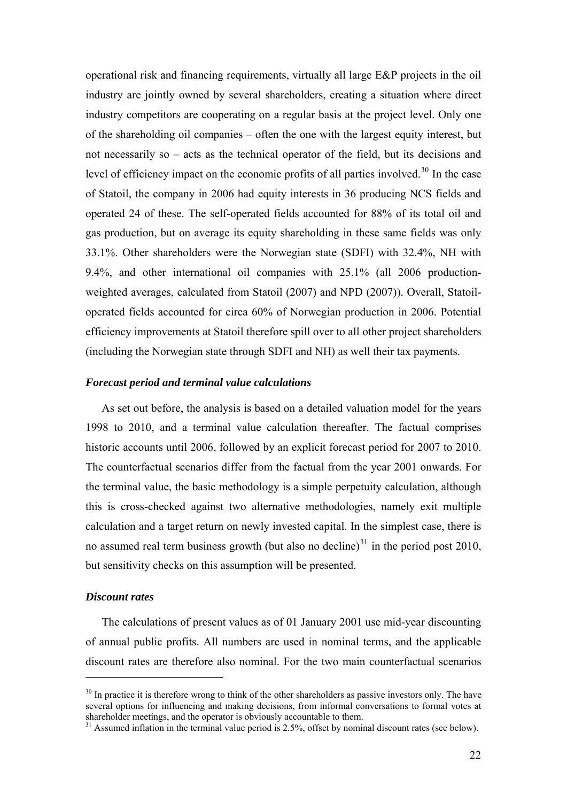<span id="page-22-0"></span>operational risk and financing requirements, virtually all large E&P projects in the oil industry are jointly owned by several shareholders, creating a situation where direct industry competitors are cooperating on a regular basis at the project level. Only one of the shareholding oil companies – often the one with the largest equity interest, but not necessarily so – acts as the technical operator of the field, but its decisions and level of efficiency impact on the economic profits of all parties involved.<sup>[30](#page-22-0)</sup> In the case of Statoil, the company in 2006 had equity interests in 36 producing NCS fields and operated 24 of these. The self-operated fields accounted for 88% of its total oil and gas production, but on average its equity shareholding in these same fields was only 33.1%. Other shareholders were the Norwegian state (SDFI) with 32.4%, NH with 9.4%, and other international oil companies with 25.1% (all 2006 productionweighted averages, calculated from Statoil (2007) and NPD (2007)). Overall, Statoiloperated fields accounted for circa 60% of Norwegian production in 2006. Potential efficiency improvements at Statoil therefore spill over to all other project shareholders (including the Norwegian state through SDFI and NH) as well their tax payments.

#### *Forecast period and terminal value calculations*

As set out before, the analysis is based on a detailed valuation model for the years 1998 to 2010, and a terminal value calculation thereafter. The factual comprises historic accounts until 2006, followed by an explicit forecast period for 2007 to 2010. The counterfactual scenarios differ from the factual from the year 2001 onwards. For the terminal value, the basic methodology is a simple perpetuity calculation, although this is cross-checked against two alternative methodologies, namely exit multiple calculation and a target return on newly invested capital. In the simplest case, there is no assumed real term business growth (but also no decline) $31$  in the period post 2010, but sensitivity checks on this assumption will be presented.

#### *Discount rates*

 $\overline{a}$ 

The calculations of present values as of 01 January 2001 use mid-year discounting of annual public profits. All numbers are used in nominal terms, and the applicable discount rates are therefore also nominal. For the two main counterfactual scenarios

<sup>&</sup>lt;sup>30</sup> In practice it is therefore wrong to think of the other shareholders as passive investors only. The have several options for influencing and making decisions, from informal conversations to formal votes at shareholder meetings, and the operator is obviously accountable to them.

<sup>&</sup>lt;sup>31</sup> Assumed inflation in the terminal value period is 2.5%, offset by nominal discount rates (see below).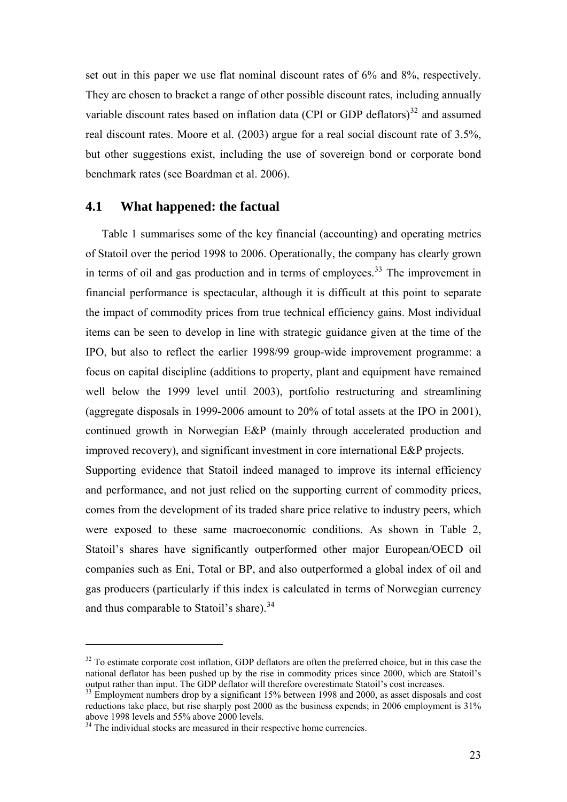<span id="page-23-0"></span>set out in this paper we use flat nominal discount rates of 6% and 8%, respectively. They are chosen to bracket a range of other possible discount rates, including annually variable discount rates based on inflation data (CPI or GDP deflators) $32$  and assumed real discount rates. Moore et al. (2003) argue for a real social discount rate of 3.5%, but other suggestions exist, including the use of sovereign bond or corporate bond benchmark rates (see Boardman et al. 2006).

## **4.1 What happened: the factual**

Table 1 summarises some of the key financial (accounting) and operating metrics of Statoil over the period 1998 to 2006. Operationally, the company has clearly grown in terms of oil and gas production and in terms of employees.<sup>[33](#page-23-0)</sup> The improvement in financial performance is spectacular, although it is difficult at this point to separate the impact of commodity prices from true technical efficiency gains. Most individual items can be seen to develop in line with strategic guidance given at the time of the IPO, but also to reflect the earlier 1998/99 group-wide improvement programme: a focus on capital discipline (additions to property, plant and equipment have remained well below the 1999 level until 2003), portfolio restructuring and streamlining (aggregate disposals in 1999-2006 amount to 20% of total assets at the IPO in 2001), continued growth in Norwegian E&P (mainly through accelerated production and improved recovery), and significant investment in core international E&P projects. Supporting evidence that Statoil indeed managed to improve its internal efficiency and performance, and not just relied on the supporting current of commodity prices, comes from the development of its traded share price relative to industry peers, which were exposed to these same macroeconomic conditions. As shown in Table 2, Statoil's shares have significantly outperformed other major European/OECD oil companies such as Eni, Total or BP, and also outperformed a global index of oil and gas producers (particularly if this index is calculated in terms of Norwegian currency and thus comparable to Statoil's share).<sup>[34](#page-23-0)</sup>

<sup>&</sup>lt;sup>32</sup> To estimate corporate cost inflation, GDP deflators are often the preferred choice, but in this case the national deflator has been pushed up by the rise in commodity prices since 2000, which are Statoil's output rather than input. The GDP deflator will therefore overestimate Statoil's cost increases.

 $33$  Employment numbers drop by a significant 15% between 1998 and 2000, as asset disposals and cost reductions take place, but rise sharply post 2000 as the business expends; in 2006 employment is 31% above 1998 levels and 55% above 2000 levels.

 $34$  The individual stocks are measured in their respective home currencies.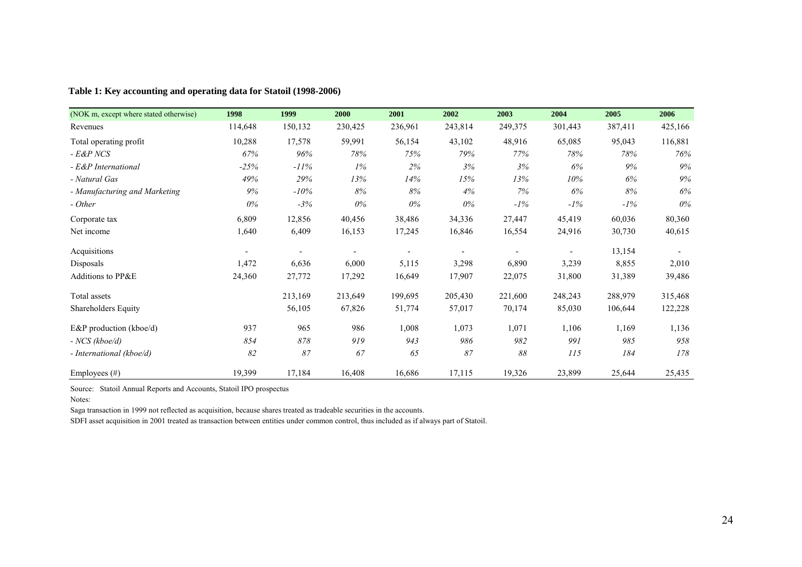| (NOK m, except where stated otherwise) | 1998    | 1999    | 2000    | 2001    | 2002    | 2003    | 2004    | 2005    | 2006    |
|----------------------------------------|---------|---------|---------|---------|---------|---------|---------|---------|---------|
| Revenues                               | 114,648 | 150,132 | 230,425 | 236,961 | 243,814 | 249,375 | 301,443 | 387,411 | 425,166 |
| Total operating profit                 | 10,288  | 17,578  | 59,991  | 56,154  | 43,102  | 48,916  | 65,085  | 95,043  | 116,881 |
| - E&P NCS                              | 67%     | 96%     | 78%     | 75%     | 79%     | 77%     | 78%     | 78%     | 76%     |
| - E&P International                    | $-25%$  | $-11%$  | 1%      | 2%      | 3%      | 3%      | 6%      | 9%      | 9%      |
| - Natural Gas                          | 49%     | 29%     | 13%     | 14%     | 15%     | $13\%$  | 10%     | 6%      | 9%      |
| - Manufacturing and Marketing          | 9%      | $-10\%$ | 8%      | 8%      | 4%      | 7%      | 6%      | 8%      | 6%      |
| - Other                                | $0\%$   | $-3%$   | $0\%$   | $0\%$   | 0%      | $-1\%$  | $-1\%$  | $-1\%$  | $0\%$   |
| Corporate tax                          | 6,809   | 12,856  | 40,456  | 38,486  | 34,336  | 27,447  | 45,419  | 60,036  | 80,360  |
| Net income                             | 1,640   | 6,409   | 16,153  | 17,245  | 16,846  | 16,554  | 24,916  | 30,730  | 40,615  |
| Acquisitions                           |         |         |         |         |         |         |         | 13,154  |         |
| Disposals                              | 1,472   | 6,636   | 6,000   | 5,115   | 3,298   | 6,890   | 3,239   | 8,855   | 2,010   |
| Additions to PP&E                      | 24,360  | 27,772  | 17,292  | 16,649  | 17,907  | 22,075  | 31,800  | 31,389  | 39,486  |
| Total assets                           |         | 213,169 | 213,649 | 199,695 | 205,430 | 221,600 | 248,243 | 288,979 | 315,468 |
| Shareholders Equity                    |         | 56,105  | 67,826  | 51,774  | 57,017  | 70,174  | 85,030  | 106,644 | 122,228 |
| E&P production (kboe/d)                | 937     | 965     | 986     | 1,008   | 1,073   | 1,071   | 1,106   | 1,169   | 1,136   |
| $- NCS (kboe/d)$                       | 854     | 878     | 919     | 943     | 986     | 982     | 991     | 985     | 958     |
| - International (kboe/d)               | 82      | 87      | 67      | 65      | 87      | 88      | 115     | 184     | 178     |
| Employees $(\#)$                       | 19,399  | 17,184  | 16,408  | 16,686  | 17,115  | 19,326  | 23,899  | 25,644  | 25,435  |

#### **Table 1: Key accounting and operating data for Statoil (1998-2006)**

Source: Statoil Annual Reports and Accounts, Statoil IPO prospectus

Notes:

Saga transaction in 1999 not reflected as acquisition, because shares treated as tradeable securities in the accounts.

SDFI asset acquisition in 2001 treated as transaction between entities under common control, thus included as if always part of Statoil.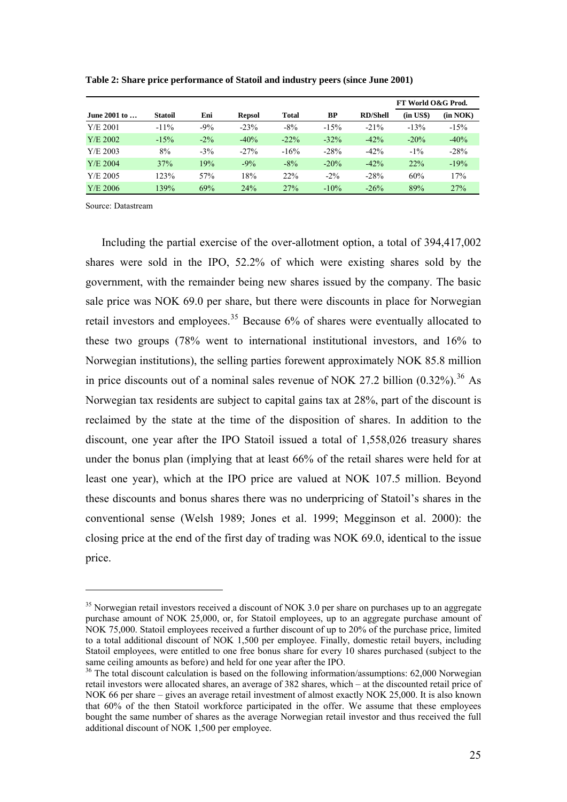|              |                |        |               |         |         |                 | FT World O&G Prod. |          |
|--------------|----------------|--------|---------------|---------|---------|-----------------|--------------------|----------|
| June 2001 to | <b>Statoil</b> | Eni    | <b>Repsol</b> | Total   | BP      | <b>RD/Shell</b> | $(in \; US\$       | (in NOK) |
| Y/E 2001     | $-11\%$        | $-9%$  | $-23%$        | $-8\%$  | $-15%$  | $-21\%$         | $-13%$             | $-15%$   |
| $Y/E$ 2002   | $-15%$         | $-2\%$ | $-40%$        | $-22\%$ | $-32\%$ | $-42%$          | $-20%$             | $-40%$   |
| Y/E 2003     | 8%             | $-3\%$ | $-27%$        | $-16%$  | $-28%$  | $-42%$          | $-1\%$             | $-28%$   |
| $Y/E$ 2004   | 37%            | 19%    | $-9%$         | $-8\%$  | $-20%$  | $-42%$          | 22%                | $-19%$   |
| Y/E 2005     | 123%           | 57%    | 18%           | 22%     | $-2\%$  | $-28%$          | 60%                | 17%      |
| $Y/E$ 2006   | 139%           | 69%    | 24%           | 27%     | $-10\%$ | $-26%$          | 89%                | 27%      |

<span id="page-25-0"></span>**Table 2: Share price performance of Statoil and industry peers (since June 2001)** 

Source: Datastream

 $\overline{a}$ 

Including the partial exercise of the over-allotment option, a total of 394,417,002 shares were sold in the IPO, 52.2% of which were existing shares sold by the government, with the remainder being new shares issued by the company. The basic sale price was NOK 69.0 per share, but there were discounts in place for Norwegian retail investors and employees.<sup>[35](#page-25-0)</sup> Because  $6\%$  of shares were eventually allocated to these two groups (78% went to international institutional investors, and 16% to Norwegian institutions), the selling parties forewent approximately NOK 85.8 million in price discounts out of a nominal sales revenue of NOK 27.2 billion  $(0.32\%)$ .<sup>[36](#page-25-0)</sup> As Norwegian tax residents are subject to capital gains tax at 28%, part of the discount is reclaimed by the state at the time of the disposition of shares. In addition to the discount, one year after the IPO Statoil issued a total of 1,558,026 treasury shares under the bonus plan (implying that at least 66% of the retail shares were held for at least one year), which at the IPO price are valued at NOK 107.5 million. Beyond these discounts and bonus shares there was no underpricing of Statoil's shares in the conventional sense (Welsh 1989; Jones et al. 1999; Megginson et al. 2000): the closing price at the end of the first day of trading was NOK 69.0, identical to the issue price.

<sup>&</sup>lt;sup>35</sup> Norwegian retail investors received a discount of NOK 3.0 per share on purchases up to an aggregate purchase amount of NOK 25,000, or, for Statoil employees, up to an aggregate purchase amount of NOK 75,000. Statoil employees received a further discount of up to 20% of the purchase price, limited to a total additional discount of NOK 1,500 per employee. Finally, domestic retail buyers, including Statoil employees, were entitled to one free bonus share for every 10 shares purchased (subject to the same ceiling amounts as before) and held for one year after the IPO.

<sup>&</sup>lt;sup>36</sup> The total discount calculation is based on the following information/assumptions: 62,000 Norwegian retail investors were allocated shares, an average of 382 shares, which – at the discounted retail price of NOK 66 per share – gives an average retail investment of almost exactly NOK 25,000. It is also known that 60% of the then Statoil workforce participated in the offer. We assume that these employees bought the same number of shares as the average Norwegian retail investor and thus received the full additional discount of NOK 1,500 per employee.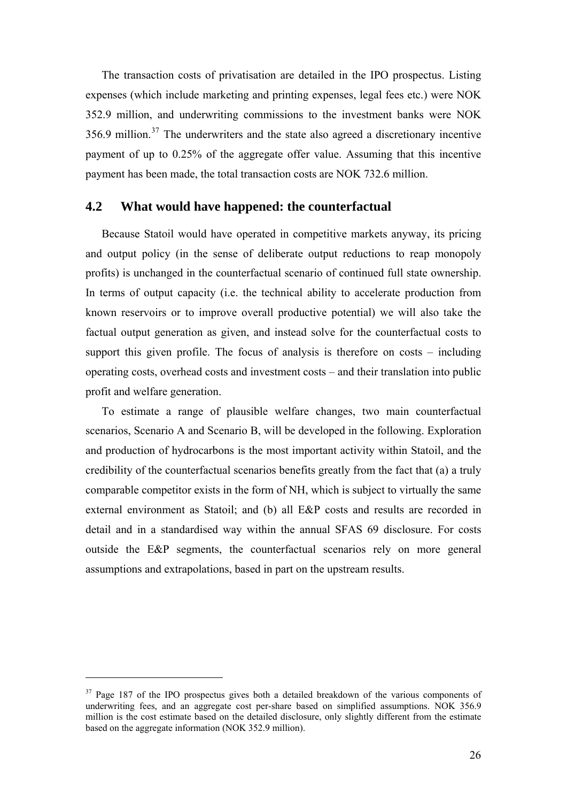<span id="page-26-0"></span>The transaction costs of privatisation are detailed in the IPO prospectus. Listing expenses (which include marketing and printing expenses, legal fees etc.) were NOK 352.9 million, and underwriting commissions to the investment banks were NOK  $356.9$  million.<sup>[37](#page-26-0)</sup> The underwriters and the state also agreed a discretionary incentive payment of up to 0.25% of the aggregate offer value. Assuming that this incentive payment has been made, the total transaction costs are NOK 732.6 million.

## **4.2 What would have happened: the counterfactual**

Because Statoil would have operated in competitive markets anyway, its pricing and output policy (in the sense of deliberate output reductions to reap monopoly profits) is unchanged in the counterfactual scenario of continued full state ownership. In terms of output capacity (i.e. the technical ability to accelerate production from known reservoirs or to improve overall productive potential) we will also take the factual output generation as given, and instead solve for the counterfactual costs to support this given profile. The focus of analysis is therefore on costs – including operating costs, overhead costs and investment costs – and their translation into public profit and welfare generation.

To estimate a range of plausible welfare changes, two main counterfactual scenarios, Scenario A and Scenario B, will be developed in the following. Exploration and production of hydrocarbons is the most important activity within Statoil, and the credibility of the counterfactual scenarios benefits greatly from the fact that (a) a truly comparable competitor exists in the form of NH, which is subject to virtually the same external environment as Statoil; and (b) all E&P costs and results are recorded in detail and in a standardised way within the annual SFAS 69 disclosure. For costs outside the E&P segments, the counterfactual scenarios rely on more general assumptions and extrapolations, based in part on the upstream results.

<sup>&</sup>lt;sup>37</sup> Page 187 of the IPO prospectus gives both a detailed breakdown of the various components of underwriting fees, and an aggregate cost per-share based on simplified assumptions. NOK 356.9 million is the cost estimate based on the detailed disclosure, only slightly different from the estimate based on the aggregate information (NOK 352.9 million).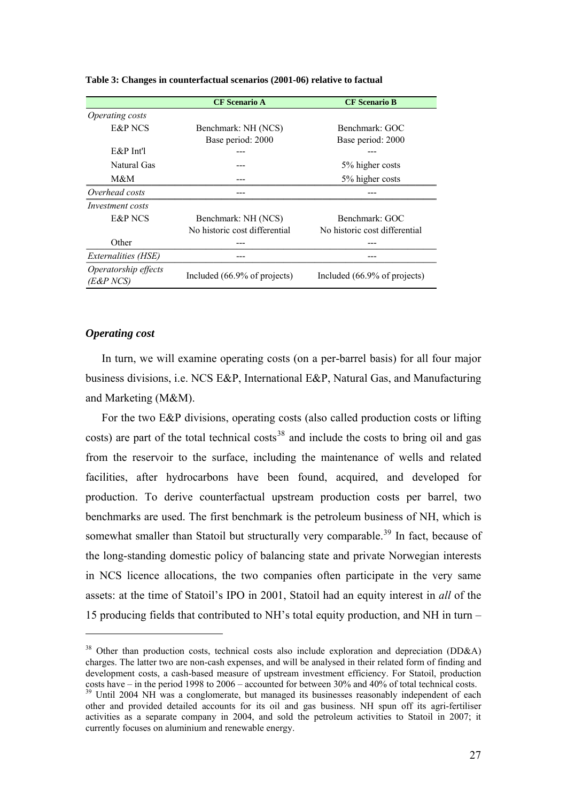|                                   | <b>CF</b> Scenario A          | <b>CF Scenario B</b>          |
|-----------------------------------|-------------------------------|-------------------------------|
| <i>Operating costs</i>            |                               |                               |
| <b>E&amp;P NCS</b>                | Benchmark: NH (NCS)           | Benchmark: GOC                |
|                                   | Base period: 2000             | Base period: 2000             |
| $E\&P$ Int'l                      |                               |                               |
| Natural Gas                       |                               | 5% higher costs               |
| M&M                               |                               | 5% higher costs               |
| Overhead costs                    |                               |                               |
| <i>Investment costs</i>           |                               |                               |
| E&P NCS                           | Benchmark: NH (NCS)           | Benchmark: GOC                |
|                                   | No historic cost differential | No historic cost differential |
| Other                             |                               |                               |
| Externalities (HSE)               |                               |                               |
| Operatorship effects<br>(E&P NCS) | Included (66.9% of projects)  | Included (66.9% of projects)  |

#### <span id="page-27-0"></span>**Table 3: Changes in counterfactual scenarios (2001-06) relative to factual**

#### *Operating cost*

 $\overline{a}$ 

In turn, we will examine operating costs (on a per-barrel basis) for all four major business divisions, i.e. NCS E&P, International E&P, Natural Gas, and Manufacturing and Marketing (M&M).

For the two E&P divisions, operating costs (also called production costs or lifting costs) are part of the total technical costs<sup>[38](#page-27-0)</sup> and include the costs to bring oil and gas from the reservoir to the surface, including the maintenance of wells and related facilities, after hydrocarbons have been found, acquired, and developed for production. To derive counterfactual upstream production costs per barrel, two benchmarks are used. The first benchmark is the petroleum business of NH, which is somewhat smaller than Statoil but structurally very comparable.<sup>[39](#page-27-0)</sup> In fact, because of the long-standing domestic policy of balancing state and private Norwegian interests in NCS licence allocations, the two companies often participate in the very same assets: at the time of Statoil's IPO in 2001, Statoil had an equity interest in *all* of the 15 producing fields that contributed to NH's total equity production, and NH in turn –

<sup>&</sup>lt;sup>38</sup> Other than production costs, technical costs also include exploration and depreciation (DD&A) charges. The latter two are non-cash expenses, and will be analysed in their related form of finding and development costs, a cash-based measure of upstream investment efficiency. For Statoil, production costs have – in the period 1998 to 2006 – accounted for between 30% and 40% of total technical costs.  $39$  Until 2004 NH was a conglomerate, but managed its businesses reasonably independent of each other and provided detailed accounts for its oil and gas business. NH spun off its agri-fertiliser activities as a separate company in 2004, and sold the petroleum activities to Statoil in 2007; it currently focuses on aluminium and renewable energy.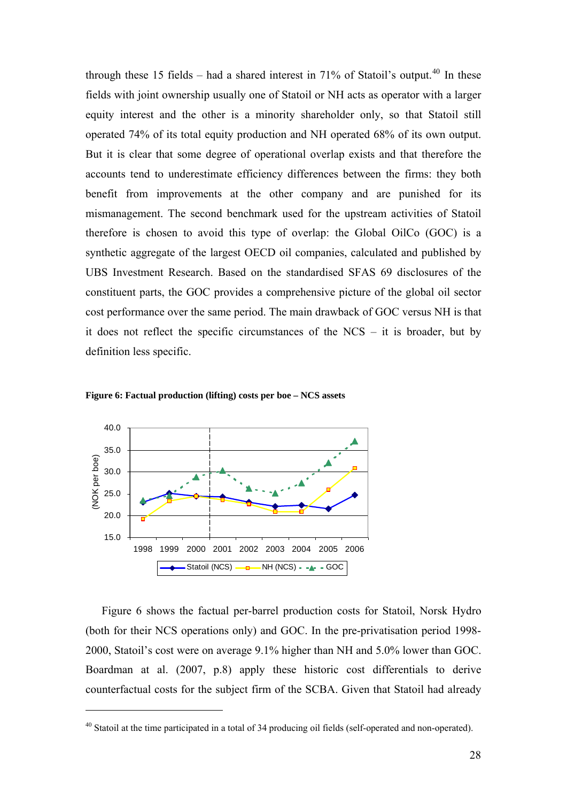<span id="page-28-0"></span>through these 15 fields – had a shared interest in  $71\%$  of Statoil's output.<sup>[40](#page-28-0)</sup> In these fields with joint ownership usually one of Statoil or NH acts as operator with a larger equity interest and the other is a minority shareholder only, so that Statoil still operated 74% of its total equity production and NH operated 68% of its own output. But it is clear that some degree of operational overlap exists and that therefore the accounts tend to underestimate efficiency differences between the firms: they both benefit from improvements at the other company and are punished for its mismanagement. The second benchmark used for the upstream activities of Statoil therefore is chosen to avoid this type of overlap: the Global OilCo (GOC) is a synthetic aggregate of the largest OECD oil companies, calculated and published by UBS Investment Research. Based on the standardised SFAS 69 disclosures of the constituent parts, the GOC provides a comprehensive picture of the global oil sector cost performance over the same period. The main drawback of GOC versus NH is that it does not reflect the specific circumstances of the NCS – it is broader, but by definition less specific.



 $\overline{a}$ 



Figure 6 shows the factual per-barrel production costs for Statoil, Norsk Hydro (both for their NCS operations only) and GOC. In the pre-privatisation period 1998- 2000, Statoil's cost were on average 9.1% higher than NH and 5.0% lower than GOC. Boardman at al. (2007, p.8) apply these historic cost differentials to derive counterfactual costs for the subject firm of the SCBA. Given that Statoil had already

<sup>&</sup>lt;sup>40</sup> Statoil at the time participated in a total of 34 producing oil fields (self-operated and non-operated).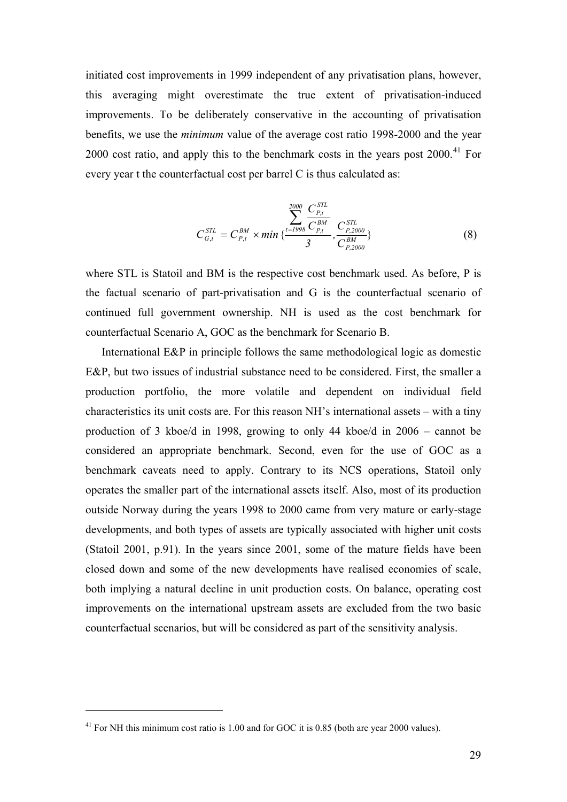<span id="page-29-0"></span>initiated cost improvements in 1999 independent of any privatisation plans, however, this averaging might overestimate the true extent of privatisation-induced improvements. To be deliberately conservative in the accounting of privatisation benefits, we use the *minimum* value of the average cost ratio 1998-2000 and the year 2000 cost ratio, and apply this to the benchmark costs in the years post 2000.<sup>[41](#page-29-0)</sup> For every year t the counterfactual cost per barrel C is thus calculated as:

$$
C_{G,t}^{STL} = C_{P,t}^{BM} \times min\{\frac{\sum_{t=1998}^{2000} \frac{C_{P,t}^{STL}}{C_{P,t}^{BM}}}{3}, \frac{C_{P,2000}^{STL}}{C_{P,2000}^{BM}}\}
$$
(8)

where STL is Statoil and BM is the respective cost benchmark used. As before, P is the factual scenario of part-privatisation and G is the counterfactual scenario of continued full government ownership. NH is used as the cost benchmark for counterfactual Scenario A, GOC as the benchmark for Scenario B.

International E&P in principle follows the same methodological logic as domestic E&P, but two issues of industrial substance need to be considered. First, the smaller a production portfolio, the more volatile and dependent on individual field characteristics its unit costs are. For this reason NH's international assets – with a tiny production of 3 kboe/d in 1998, growing to only 44 kboe/d in 2006 – cannot be considered an appropriate benchmark. Second, even for the use of GOC as a benchmark caveats need to apply. Contrary to its NCS operations, Statoil only operates the smaller part of the international assets itself. Also, most of its production outside Norway during the years 1998 to 2000 came from very mature or early-stage developments, and both types of assets are typically associated with higher unit costs (Statoil 2001, p.91). In the years since 2001, some of the mature fields have been closed down and some of the new developments have realised economies of scale, both implying a natural decline in unit production costs. On balance, operating cost improvements on the international upstream assets are excluded from the two basic counterfactual scenarios, but will be considered as part of the sensitivity analysis.

 $41$  For NH this minimum cost ratio is 1.00 and for GOC it is 0.85 (both are year 2000 values).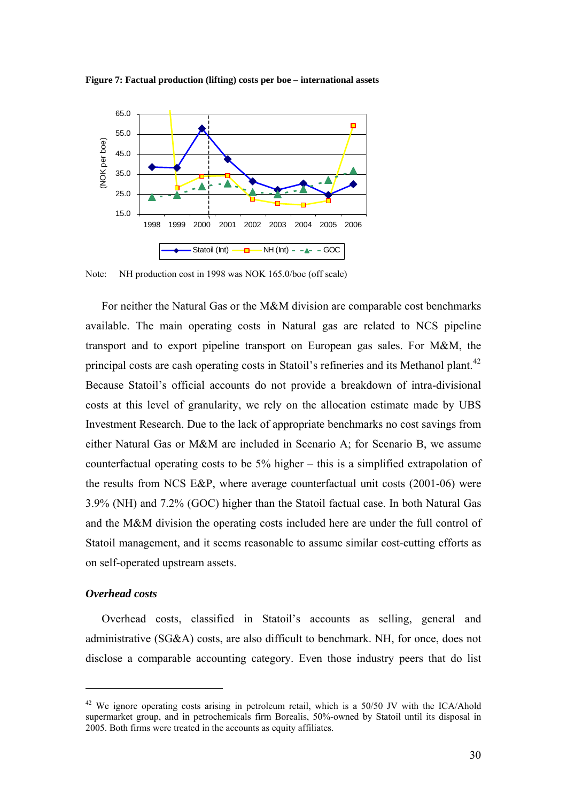

<span id="page-30-0"></span>**Figure 7: Factual production (lifting) costs per boe – international assets** 

Note: NH production cost in 1998 was NOK 165.0/boe (off scale)

For neither the Natural Gas or the M&M division are comparable cost benchmarks available. The main operating costs in Natural gas are related to NCS pipeline transport and to export pipeline transport on European gas sales. For M&M, the principal costs are cash operating costs in Statoil's refineries and its Methanol plant.<sup>[42](#page-30-0)</sup> Because Statoil's official accounts do not provide a breakdown of intra-divisional costs at this level of granularity, we rely on the allocation estimate made by UBS Investment Research. Due to the lack of appropriate benchmarks no cost savings from either Natural Gas or M&M are included in Scenario A; for Scenario B, we assume counterfactual operating costs to be 5% higher – this is a simplified extrapolation of the results from NCS E&P, where average counterfactual unit costs (2001-06) were 3.9% (NH) and 7.2% (GOC) higher than the Statoil factual case. In both Natural Gas and the M&M division the operating costs included here are under the full control of Statoil management, and it seems reasonable to assume similar cost-cutting efforts as on self-operated upstream assets.

#### *Overhead costs*

 $\overline{a}$ 

Overhead costs, classified in Statoil's accounts as selling, general and administrative (SG&A) costs, are also difficult to benchmark. NH, for once, does not disclose a comparable accounting category. Even those industry peers that do list

 $42$  We ignore operating costs arising in petroleum retail, which is a 50/50 JV with the ICA/Ahold supermarket group, and in petrochemicals firm Borealis, 50%-owned by Statoil until its disposal in 2005. Both firms were treated in the accounts as equity affiliates.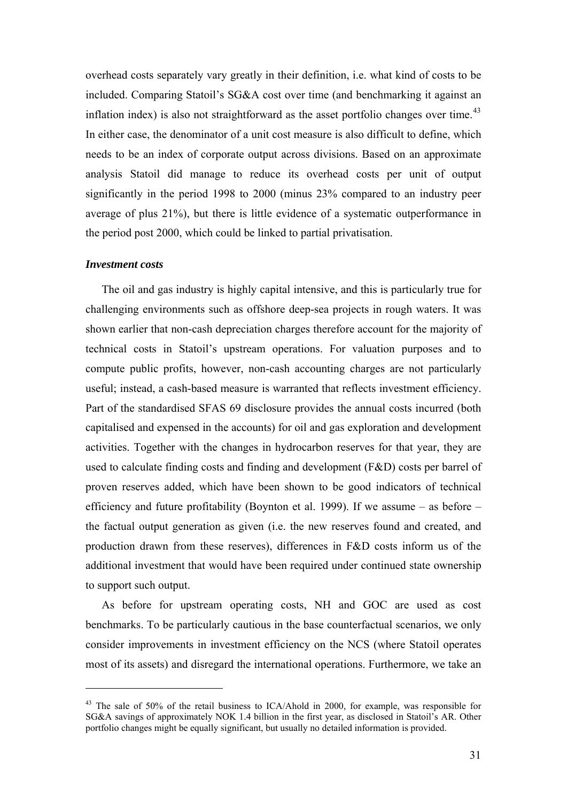<span id="page-31-0"></span>overhead costs separately vary greatly in their definition, i.e. what kind of costs to be included. Comparing Statoil's SG&A cost over time (and benchmarking it against an inflation index) is also not straightforward as the asset portfolio changes over time. $43$ In either case, the denominator of a unit cost measure is also difficult to define, which needs to be an index of corporate output across divisions. Based on an approximate analysis Statoil did manage to reduce its overhead costs per unit of output significantly in the period 1998 to 2000 (minus 23% compared to an industry peer average of plus 21%), but there is little evidence of a systematic outperformance in the period post 2000, which could be linked to partial privatisation.

#### *Investment costs*

 $\overline{a}$ 

The oil and gas industry is highly capital intensive, and this is particularly true for challenging environments such as offshore deep-sea projects in rough waters. It was shown earlier that non-cash depreciation charges therefore account for the majority of technical costs in Statoil's upstream operations. For valuation purposes and to compute public profits, however, non-cash accounting charges are not particularly useful; instead, a cash-based measure is warranted that reflects investment efficiency. Part of the standardised SFAS 69 disclosure provides the annual costs incurred (both capitalised and expensed in the accounts) for oil and gas exploration and development activities. Together with the changes in hydrocarbon reserves for that year, they are used to calculate finding costs and finding and development (F&D) costs per barrel of proven reserves added, which have been shown to be good indicators of technical efficiency and future profitability (Boynton et al. 1999). If we assume – as before – the factual output generation as given (i.e. the new reserves found and created, and production drawn from these reserves), differences in F&D costs inform us of the additional investment that would have been required under continued state ownership to support such output.

As before for upstream operating costs, NH and GOC are used as cost benchmarks. To be particularly cautious in the base counterfactual scenarios, we only consider improvements in investment efficiency on the NCS (where Statoil operates most of its assets) and disregard the international operations. Furthermore, we take an

<sup>&</sup>lt;sup>43</sup> The sale of 50% of the retail business to ICA/Ahold in 2000, for example, was responsible for SG&A savings of approximately NOK 1.4 billion in the first year, as disclosed in Statoil's AR. Other portfolio changes might be equally significant, but usually no detailed information is provided.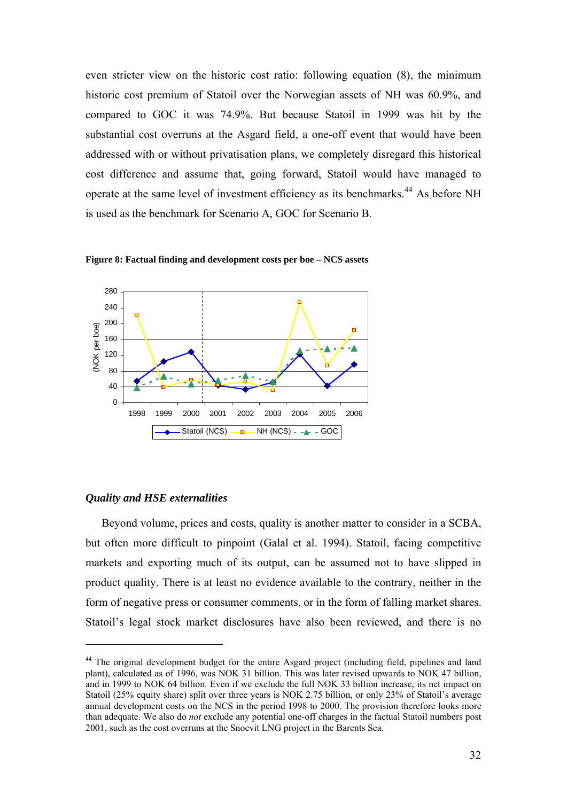<span id="page-32-0"></span>even stricter view on the historic cost ratio: following equation (8), the minimum historic cost premium of Statoil over the Norwegian assets of NH was 60.9%, and compared to GOC it was 74.9%. But because Statoil in 1999 was hit by the substantial cost overruns at the Asgard field, a one-off event that would have been addressed with or without privatisation plans, we completely disregard this historical cost difference and assume that, going forward, Statoil would have managed to operate at the same level of investment efficiency as its benchmarks.<sup>[44](#page-32-0)</sup> As before NH is used as the benchmark for Scenario A, GOC for Scenario B.



**Figure 8: Factual finding and development costs per boe – NCS assets** 

#### *Quality and HSE externalities*

 $\overline{a}$ 

Beyond volume, prices and costs, quality is another matter to consider in a SCBA, but often more difficult to pinpoint (Galal et al. 1994). Statoil, facing competitive markets and exporting much of its output, can be assumed not to have slipped in product quality. There is at least no evidence available to the contrary, neither in the form of negative press or consumer comments, or in the form of falling market shares. Statoil's legal stock market disclosures have also been reviewed, and there is no

<sup>&</sup>lt;sup>44</sup> The original development budget for the entire Asgard project (including field, pipelines and land plant), calculated as of 1996, was NOK 31 billion. This was later revised upwards to NOK 47 billion, and in 1999 to NOK 64 billion. Even if we exclude the full NOK 33 billion increase, its net impact on Statoil (25% equity share) split over three years is NOK 2.75 billion, or only 23% of Statoil's average annual development costs on the NCS in the period 1998 to 2000. The provision therefore looks more than adequate. We also do *not* exclude any potential one-off charges in the factual Statoil numbers post 2001, such as the cost overruns at the Snoevit LNG project in the Barents Sea.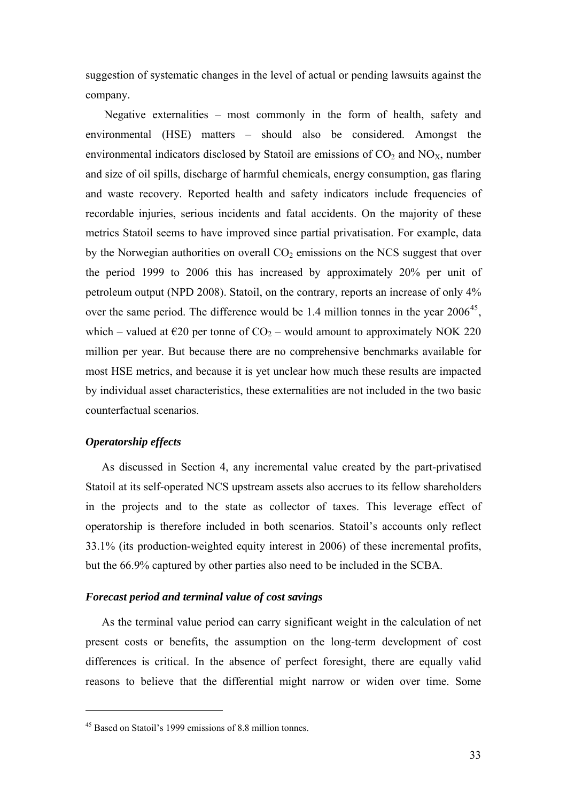<span id="page-33-0"></span>suggestion of systematic changes in the level of actual or pending lawsuits against the company.

 Negative externalities – most commonly in the form of health, safety and environmental (HSE) matters – should also be considered. Amongst the environmental indicators disclosed by Statoil are emissions of  $CO<sub>2</sub>$  and  $NO<sub>X</sub>$ , number and size of oil spills, discharge of harmful chemicals, energy consumption, gas flaring and waste recovery. Reported health and safety indicators include frequencies of recordable injuries, serious incidents and fatal accidents. On the majority of these metrics Statoil seems to have improved since partial privatisation. For example, data by the Norwegian authorities on overall  $CO<sub>2</sub>$  emissions on the NCS suggest that over the period 1999 to 2006 this has increased by approximately 20% per unit of petroleum output (NPD 2008). Statoil, on the contrary, reports an increase of only 4% over the same period. The difference would be 1.4 million tonnes in the year  $2006^{45}$  $2006^{45}$  $2006^{45}$ , which – valued at  $\epsilon$ 20 per tonne of CO<sub>2</sub> – would amount to approximately NOK 220 million per year. But because there are no comprehensive benchmarks available for most HSE metrics, and because it is yet unclear how much these results are impacted by individual asset characteristics, these externalities are not included in the two basic counterfactual scenarios.

#### *Operatorship effects*

 $\overline{a}$ 

As discussed in Section 4, any incremental value created by the part-privatised Statoil at its self-operated NCS upstream assets also accrues to its fellow shareholders in the projects and to the state as collector of taxes. This leverage effect of operatorship is therefore included in both scenarios. Statoil's accounts only reflect 33.1% (its production-weighted equity interest in 2006) of these incremental profits, but the 66.9% captured by other parties also need to be included in the SCBA.

#### *Forecast period and terminal value of cost savings*

As the terminal value period can carry significant weight in the calculation of net present costs or benefits, the assumption on the long-term development of cost differences is critical. In the absence of perfect foresight, there are equally valid reasons to believe that the differential might narrow or widen over time. Some

<sup>45</sup> Based on Statoil's 1999 emissions of 8.8 million tonnes.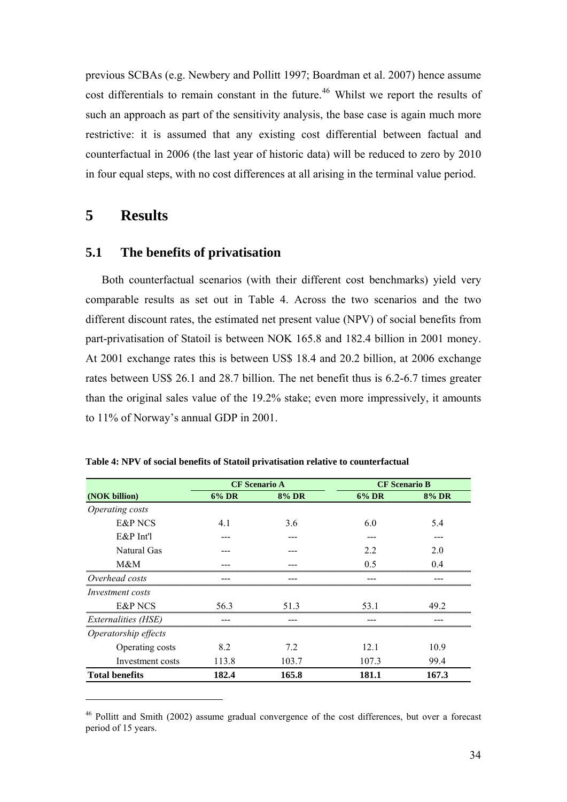<span id="page-34-0"></span>previous SCBAs (e.g. Newbery and Pollitt 1997; Boardman et al. 2007) hence assume cost differentials to remain constant in the future.<sup>46</sup> Whilst we report the results of such an approach as part of the sensitivity analysis, the base case is again much more restrictive: it is assumed that any existing cost differential between factual and counterfactual in 2006 (the last year of historic data) will be reduced to zero by 2010 in four equal steps, with no cost differences at all arising in the terminal value period.

## **5 Results**

 $\overline{a}$ 

## **5.1 The benefits of privatisation**

Both counterfactual scenarios (with their different cost benchmarks) yield very comparable results as set out in Table 4. Across the two scenarios and the two different discount rates, the estimated net present value (NPV) of social benefits from part-privatisation of Statoil is between NOK 165.8 and 182.4 billion in 2001 money. At 2001 exchange rates this is between US\$ 18.4 and 20.2 billion, at 2006 exchange rates between US\$ 26.1 and 28.7 billion. The net benefit thus is 6.2-6.7 times greater than the original sales value of the 19.2% stake; even more impressively, it amounts to 11% of Norway's annual GDP in 2001.

|                         |       | <b>CF</b> Scenario A |       | <b>CF</b> Scenario B |  |
|-------------------------|-------|----------------------|-------|----------------------|--|
| (NOK billion)           | 6% DR | 8% DR                | 6% DR | <b>8% DR</b>         |  |
| Operating costs         |       |                      |       |                      |  |
| E&P NCS                 | 41    | 3.6                  | 6.0   | 5.4                  |  |
| $E\&P$ Int'l            |       |                      |       |                      |  |
| Natural Gas             |       |                      | 2.2   | 2.0                  |  |
| M&M                     |       |                      | 0.5   | 04                   |  |
| Overhead costs          |       |                      |       |                      |  |
| <i>Investment costs</i> |       |                      |       |                      |  |
| E&P NCS                 | 563   | 513                  | 53 1  | 49.2                 |  |
| Externalities (HSE)     |       |                      |       |                      |  |
| Operatorship effects    |       |                      |       |                      |  |
| Operating costs         | 8.2   | 7.2                  | 12.1  | 10.9                 |  |
| Investment costs        | 113.8 | 103.7                | 107.3 | 99.4                 |  |
| <b>Total benefits</b>   | 182.4 | 165.8                | 181.1 | 167.3                |  |

**Table 4: NPV of social benefits of Statoil privatisation relative to counterfactual** 

<sup>&</sup>lt;sup>46</sup> Pollitt and Smith (2002) assume gradual convergence of the cost differences, but over a forecast period of 15 years.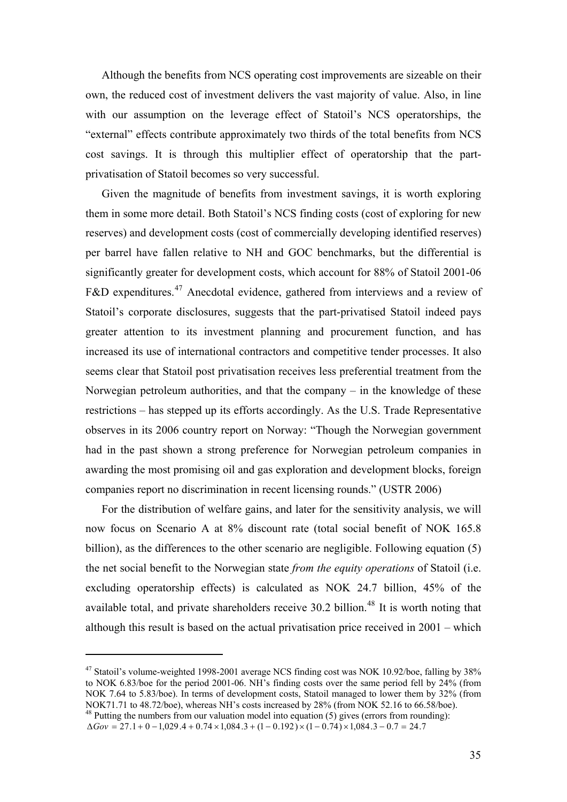<span id="page-35-0"></span>Although the benefits from NCS operating cost improvements are sizeable on their own, the reduced cost of investment delivers the vast majority of value. Also, in line with our assumption on the leverage effect of Statoil's NCS operatorships, the "external" effects contribute approximately two thirds of the total benefits from NCS cost savings. It is through this multiplier effect of operatorship that the partprivatisation of Statoil becomes so very successful.

Given the magnitude of benefits from investment savings, it is worth exploring them in some more detail. Both Statoil's NCS finding costs (cost of exploring for new reserves) and development costs (cost of commercially developing identified reserves) per barrel have fallen relative to NH and GOC benchmarks, but the differential is significantly greater for development costs, which account for 88% of Statoil 2001-06 F&D expenditures.<sup>[47](#page-35-0)</sup> Anecdotal evidence, gathered from interviews and a review of Statoil's corporate disclosures, suggests that the part-privatised Statoil indeed pays greater attention to its investment planning and procurement function, and has increased its use of international contractors and competitive tender processes. It also seems clear that Statoil post privatisation receives less preferential treatment from the Norwegian petroleum authorities, and that the company – in the knowledge of these restrictions – has stepped up its efforts accordingly. As the U.S. Trade Representative observes in its 2006 country report on Norway: "Though the Norwegian government had in the past shown a strong preference for Norwegian petroleum companies in awarding the most promising oil and gas exploration and development blocks, foreign companies report no discrimination in recent licensing rounds." (USTR 2006)

For the distribution of welfare gains, and later for the sensitivity analysis, we will now focus on Scenario A at 8% discount rate (total social benefit of NOK 165.8 billion), as the differences to the other scenario are negligible. Following equation (5) the net social benefit to the Norwegian state *from the equity operations* of Statoil (i.e. excluding operatorship effects) is calculated as NOK 24.7 billion, 45% of the available total, and private shareholders receive 30.2 billion.<sup>[48](#page-35-0)</sup> It is worth noting that although this result is based on the actual privatisation price received in 2001 – which

<sup>&</sup>lt;sup>47</sup> Statoil's volume-weighted 1998-2001 average NCS finding cost was NOK 10.92/boe, falling by 38% to NOK 6.83/boe for the period 2001-06. NH's finding costs over the same period fell by 24% (from NOK 7.64 to 5.83/boe). In terms of development costs, Statoil managed to lower them by 32% (from NOK71.71 to 48.72/boe), whereas NH's costs increased by 28% (from NOK 52.16 to 66.58/boe).  $48$  Putting the numbers from our valuation model into equation (5) gives (errors from rounding):

 $\Delta Gov = 27.1 + 0 - 1,029.4 + 0.74 \times 1,084.3 + (1 - 0.192) \times (1 - 0.74) \times 1,084.3 - 0.7 = 24.7$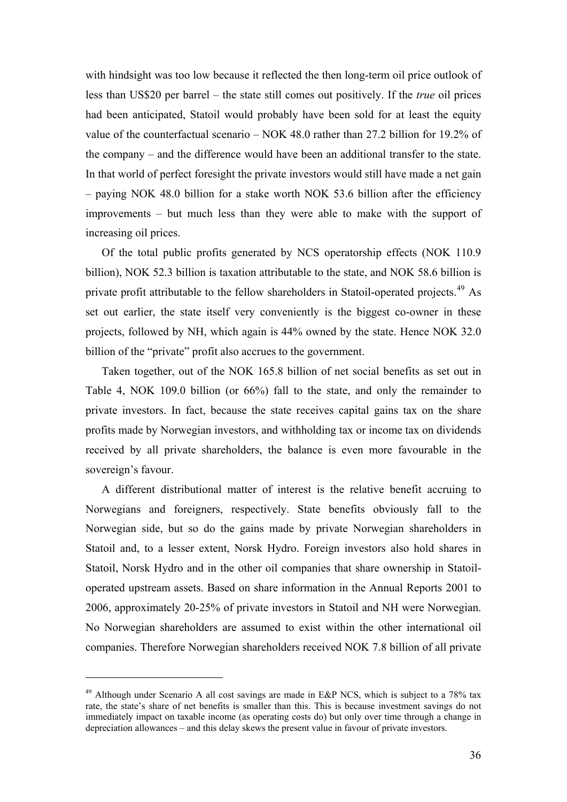<span id="page-36-0"></span>with hindsight was too low because it reflected the then long-term oil price outlook of less than US\$20 per barrel – the state still comes out positively. If the *true* oil prices had been anticipated, Statoil would probably have been sold for at least the equity value of the counterfactual scenario – NOK 48.0 rather than 27.2 billion for 19.2% of the company – and the difference would have been an additional transfer to the state. In that world of perfect foresight the private investors would still have made a net gain – paying NOK 48.0 billion for a stake worth NOK 53.6 billion after the efficiency improvements – but much less than they were able to make with the support of increasing oil prices.

Of the total public profits generated by NCS operatorship effects (NOK 110.9 billion), NOK 52.3 billion is taxation attributable to the state, and NOK 58.6 billion is private profit attributable to the fellow shareholders in Statoil-operated projects.<sup>[49](#page-36-0)</sup> As set out earlier, the state itself very conveniently is the biggest co-owner in these projects, followed by NH, which again is 44% owned by the state. Hence NOK 32.0 billion of the "private" profit also accrues to the government.

Taken together, out of the NOK 165.8 billion of net social benefits as set out in Table 4, NOK 109.0 billion (or 66%) fall to the state, and only the remainder to private investors. In fact, because the state receives capital gains tax on the share profits made by Norwegian investors, and withholding tax or income tax on dividends received by all private shareholders, the balance is even more favourable in the sovereign's favour.

A different distributional matter of interest is the relative benefit accruing to Norwegians and foreigners, respectively. State benefits obviously fall to the Norwegian side, but so do the gains made by private Norwegian shareholders in Statoil and, to a lesser extent, Norsk Hydro. Foreign investors also hold shares in Statoil, Norsk Hydro and in the other oil companies that share ownership in Statoiloperated upstream assets. Based on share information in the Annual Reports 2001 to 2006, approximately 20-25% of private investors in Statoil and NH were Norwegian. No Norwegian shareholders are assumed to exist within the other international oil companies. Therefore Norwegian shareholders received NOK 7.8 billion of all private

 $49$  Although under Scenario A all cost savings are made in E&P NCS, which is subject to a 78% tax rate, the state's share of net benefits is smaller than this. This is because investment savings do not immediately impact on taxable income (as operating costs do) but only over time through a change in depreciation allowances – and this delay skews the present value in favour of private investors.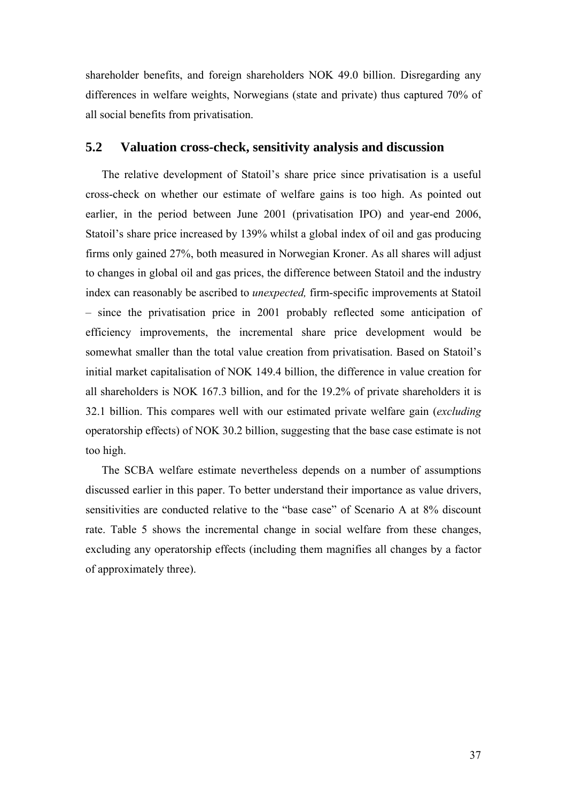shareholder benefits, and foreign shareholders NOK 49.0 billion. Disregarding any differences in welfare weights, Norwegians (state and private) thus captured 70% of all social benefits from privatisation.

## **5.2 Valuation cross-check, sensitivity analysis and discussion**

The relative development of Statoil's share price since privatisation is a useful cross-check on whether our estimate of welfare gains is too high. As pointed out earlier, in the period between June 2001 (privatisation IPO) and year-end 2006, Statoil's share price increased by 139% whilst a global index of oil and gas producing firms only gained 27%, both measured in Norwegian Kroner. As all shares will adjust to changes in global oil and gas prices, the difference between Statoil and the industry index can reasonably be ascribed to *unexpected,* firm-specific improvements at Statoil – since the privatisation price in 2001 probably reflected some anticipation of efficiency improvements, the incremental share price development would be somewhat smaller than the total value creation from privatisation. Based on Statoil's initial market capitalisation of NOK 149.4 billion, the difference in value creation for all shareholders is NOK 167.3 billion, and for the 19.2% of private shareholders it is 32.1 billion. This compares well with our estimated private welfare gain (*excluding* operatorship effects) of NOK 30.2 billion, suggesting that the base case estimate is not too high.

The SCBA welfare estimate nevertheless depends on a number of assumptions discussed earlier in this paper. To better understand their importance as value drivers, sensitivities are conducted relative to the "base case" of Scenario A at 8% discount rate. Table 5 shows the incremental change in social welfare from these changes, excluding any operatorship effects (including them magnifies all changes by a factor of approximately three).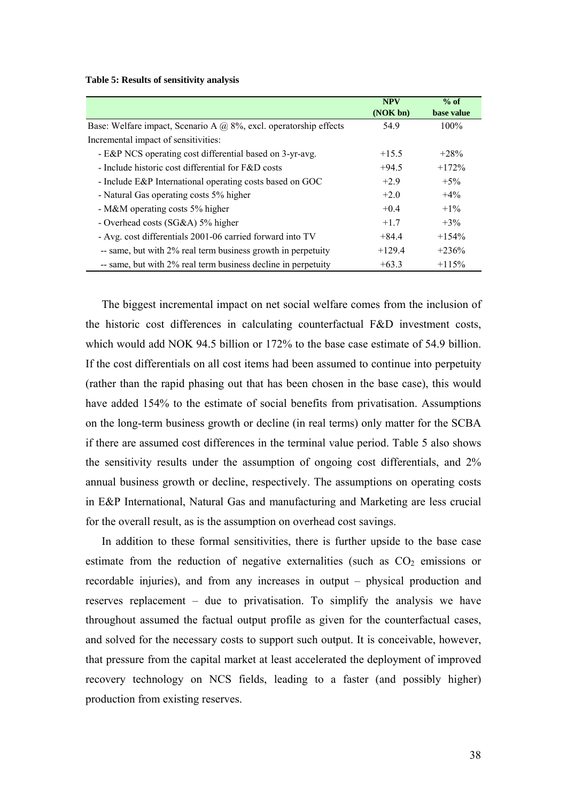**Table 5: Results of sensitivity analysis** 

|                                                                          | <b>NPV</b> | $%$ of     |
|--------------------------------------------------------------------------|------------|------------|
|                                                                          | (NOK bn)   | base value |
| Base: Welfare impact, Scenario A $\omega$ 8%, excl. operatorship effects | 54.9       | $100\%$    |
| Incremental impact of sensitivities:                                     |            |            |
| - E&P NCS operating cost differential based on 3-yr-avg.                 | $+15.5$    | $+28%$     |
| - Include historic cost differential for F&D costs                       | $+94.5$    | $+172%$    |
| - Include E&P International operating costs based on GOC                 | $+2.9$     | $+5\%$     |
| - Natural Gas operating costs 5% higher                                  | $+2.0$     | $+4\%$     |
| - M&M operating costs 5% higher                                          | $+0.4$     | $+1\%$     |
| - Overhead costs (SG&A) 5% higher                                        | $+1.7$     | $+3\%$     |
| - Avg. cost differentials 2001-06 carried forward into TV                | $+84.4$    | $+154%$    |
| -- same, but with 2% real term business growth in perpetuity             | $+129.4$   | $+236%$    |
| -- same, but with 2% real term business decline in perpetuity            | $+63.3$    | $+115%$    |

The biggest incremental impact on net social welfare comes from the inclusion of the historic cost differences in calculating counterfactual F&D investment costs, which would add NOK 94.5 billion or 172% to the base case estimate of 54.9 billion. If the cost differentials on all cost items had been assumed to continue into perpetuity (rather than the rapid phasing out that has been chosen in the base case), this would have added 154% to the estimate of social benefits from privatisation. Assumptions on the long-term business growth or decline (in real terms) only matter for the SCBA if there are assumed cost differences in the terminal value period. Table 5 also shows the sensitivity results under the assumption of ongoing cost differentials, and 2% annual business growth or decline, respectively. The assumptions on operating costs in E&P International, Natural Gas and manufacturing and Marketing are less crucial for the overall result, as is the assumption on overhead cost savings.

In addition to these formal sensitivities, there is further upside to the base case estimate from the reduction of negative externalities (such as  $CO<sub>2</sub>$  emissions or recordable injuries), and from any increases in output – physical production and reserves replacement – due to privatisation. To simplify the analysis we have throughout assumed the factual output profile as given for the counterfactual cases, and solved for the necessary costs to support such output. It is conceivable, however, that pressure from the capital market at least accelerated the deployment of improved recovery technology on NCS fields, leading to a faster (and possibly higher) production from existing reserves.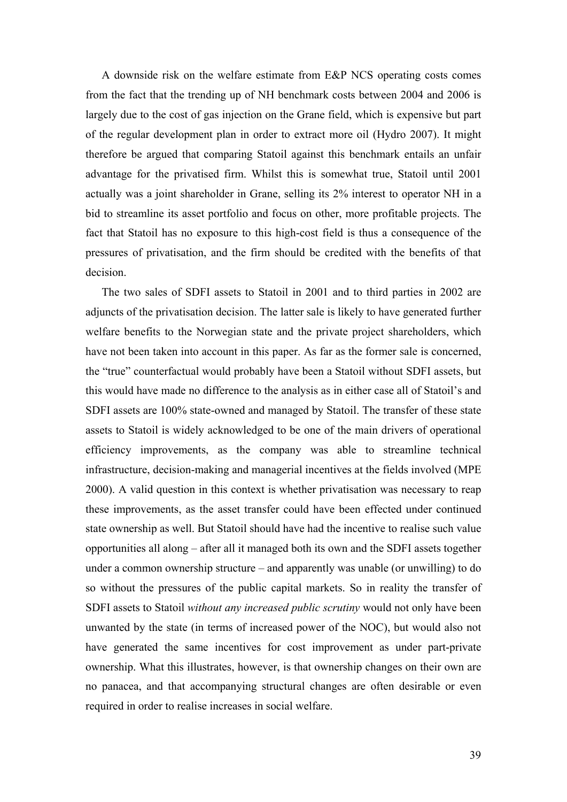A downside risk on the welfare estimate from E&P NCS operating costs comes from the fact that the trending up of NH benchmark costs between 2004 and 2006 is largely due to the cost of gas injection on the Grane field, which is expensive but part of the regular development plan in order to extract more oil (Hydro 2007). It might therefore be argued that comparing Statoil against this benchmark entails an unfair advantage for the privatised firm. Whilst this is somewhat true, Statoil until 2001 actually was a joint shareholder in Grane, selling its 2% interest to operator NH in a bid to streamline its asset portfolio and focus on other, more profitable projects. The fact that Statoil has no exposure to this high-cost field is thus a consequence of the pressures of privatisation, and the firm should be credited with the benefits of that decision.

The two sales of SDFI assets to Statoil in 2001 and to third parties in 2002 are adjuncts of the privatisation decision. The latter sale is likely to have generated further welfare benefits to the Norwegian state and the private project shareholders, which have not been taken into account in this paper. As far as the former sale is concerned, the "true" counterfactual would probably have been a Statoil without SDFI assets, but this would have made no difference to the analysis as in either case all of Statoil's and SDFI assets are 100% state-owned and managed by Statoil. The transfer of these state assets to Statoil is widely acknowledged to be one of the main drivers of operational efficiency improvements, as the company was able to streamline technical infrastructure, decision-making and managerial incentives at the fields involved (MPE 2000). A valid question in this context is whether privatisation was necessary to reap these improvements, as the asset transfer could have been effected under continued state ownership as well. But Statoil should have had the incentive to realise such value opportunities all along – after all it managed both its own and the SDFI assets together under a common ownership structure – and apparently was unable (or unwilling) to do so without the pressures of the public capital markets. So in reality the transfer of SDFI assets to Statoil *without any increased public scrutiny* would not only have been unwanted by the state (in terms of increased power of the NOC), but would also not have generated the same incentives for cost improvement as under part-private ownership. What this illustrates, however, is that ownership changes on their own are no panacea, and that accompanying structural changes are often desirable or even required in order to realise increases in social welfare.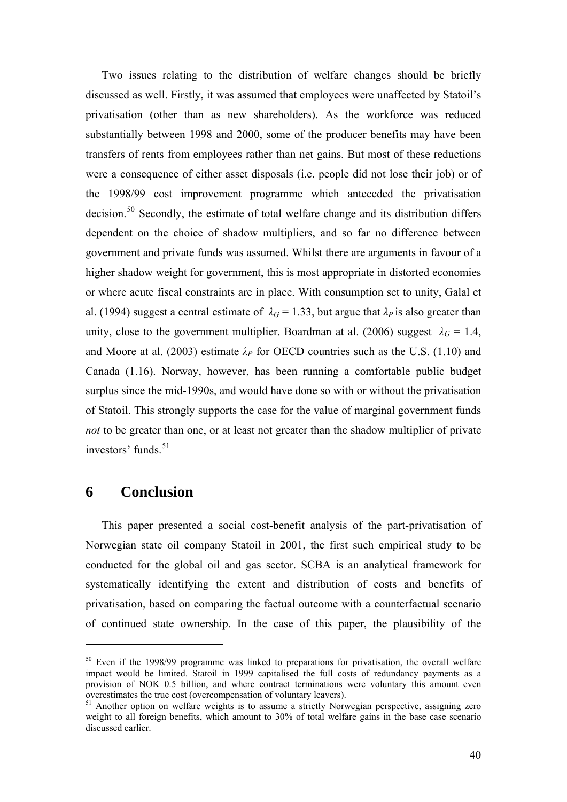<span id="page-40-0"></span>Two issues relating to the distribution of welfare changes should be briefly discussed as well. Firstly, it was assumed that employees were unaffected by Statoil's privatisation (other than as new shareholders). As the workforce was reduced substantially between 1998 and 2000, some of the producer benefits may have been transfers of rents from employees rather than net gains. But most of these reductions were a consequence of either asset disposals (i.e. people did not lose their job) or of the 1998/99 cost improvement programme which anteceded the privatisation decision.<sup>[50](#page-40-0)</sup> Secondly, the estimate of total welfare change and its distribution differs dependent on the choice of shadow multipliers, and so far no difference between government and private funds was assumed. Whilst there are arguments in favour of a higher shadow weight for government, this is most appropriate in distorted economies or where acute fiscal constraints are in place. With consumption set to unity, Galal et al. (1994) suggest a central estimate of  $\lambda_G = 1.33$ , but argue that  $\lambda_P$  is also greater than unity, close to the government multiplier. Boardman at al. (2006) suggest  $\lambda_G = 1.4$ , and Moore at al. (2003) estimate  $\lambda_P$  for OECD countries such as the U.S. (1.10) and Canada (1.16). Norway, however, has been running a comfortable public budget surplus since the mid-1990s, and would have done so with or without the privatisation of Statoil. This strongly supports the case for the value of marginal government funds *not* to be greater than one, or at least not greater than the shadow multiplier of private investors' funds.<sup>[51](#page-40-0)</sup>

## **6 Conclusion**

 $\overline{a}$ 

This paper presented a social cost-benefit analysis of the part-privatisation of Norwegian state oil company Statoil in 2001, the first such empirical study to be conducted for the global oil and gas sector. SCBA is an analytical framework for systematically identifying the extent and distribution of costs and benefits of privatisation, based on comparing the factual outcome with a counterfactual scenario of continued state ownership. In the case of this paper, the plausibility of the

<sup>&</sup>lt;sup>50</sup> Even if the 1998/99 programme was linked to preparations for privatisation, the overall welfare impact would be limited. Statoil in 1999 capitalised the full costs of redundancy payments as a provision of NOK 0.5 billion, and where contract terminations were voluntary this amount even overestimates the true cost (overcompensation of voluntary leavers).

<sup>&</sup>lt;sup>51</sup> Another option on welfare weights is to assume a strictly Norwegian perspective, assigning zero weight to all foreign benefits, which amount to 30% of total welfare gains in the base case scenario discussed earlier.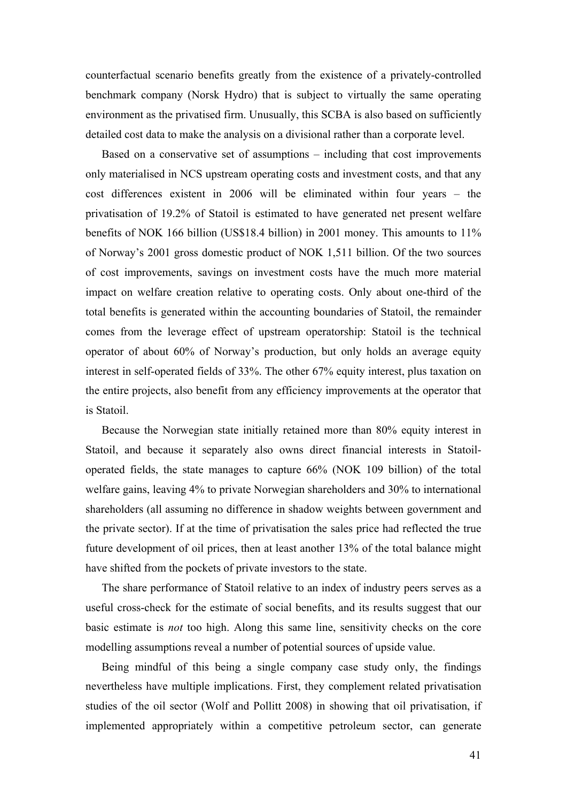counterfactual scenario benefits greatly from the existence of a privately-controlled benchmark company (Norsk Hydro) that is subject to virtually the same operating environment as the privatised firm. Unusually, this SCBA is also based on sufficiently detailed cost data to make the analysis on a divisional rather than a corporate level.

Based on a conservative set of assumptions – including that cost improvements only materialised in NCS upstream operating costs and investment costs, and that any cost differences existent in 2006 will be eliminated within four years – the privatisation of 19.2% of Statoil is estimated to have generated net present welfare benefits of NOK 166 billion (US\$18.4 billion) in 2001 money. This amounts to 11% of Norway's 2001 gross domestic product of NOK 1,511 billion. Of the two sources of cost improvements, savings on investment costs have the much more material impact on welfare creation relative to operating costs. Only about one-third of the total benefits is generated within the accounting boundaries of Statoil, the remainder comes from the leverage effect of upstream operatorship: Statoil is the technical operator of about 60% of Norway's production, but only holds an average equity interest in self-operated fields of 33%. The other 67% equity interest, plus taxation on the entire projects, also benefit from any efficiency improvements at the operator that is Statoil.

Because the Norwegian state initially retained more than 80% equity interest in Statoil, and because it separately also owns direct financial interests in Statoiloperated fields, the state manages to capture 66% (NOK 109 billion) of the total welfare gains, leaving 4% to private Norwegian shareholders and 30% to international shareholders (all assuming no difference in shadow weights between government and the private sector). If at the time of privatisation the sales price had reflected the true future development of oil prices, then at least another 13% of the total balance might have shifted from the pockets of private investors to the state.

The share performance of Statoil relative to an index of industry peers serves as a useful cross-check for the estimate of social benefits, and its results suggest that our basic estimate is *not* too high. Along this same line, sensitivity checks on the core modelling assumptions reveal a number of potential sources of upside value.

Being mindful of this being a single company case study only, the findings nevertheless have multiple implications. First, they complement related privatisation studies of the oil sector (Wolf and Pollitt 2008) in showing that oil privatisation, if implemented appropriately within a competitive petroleum sector, can generate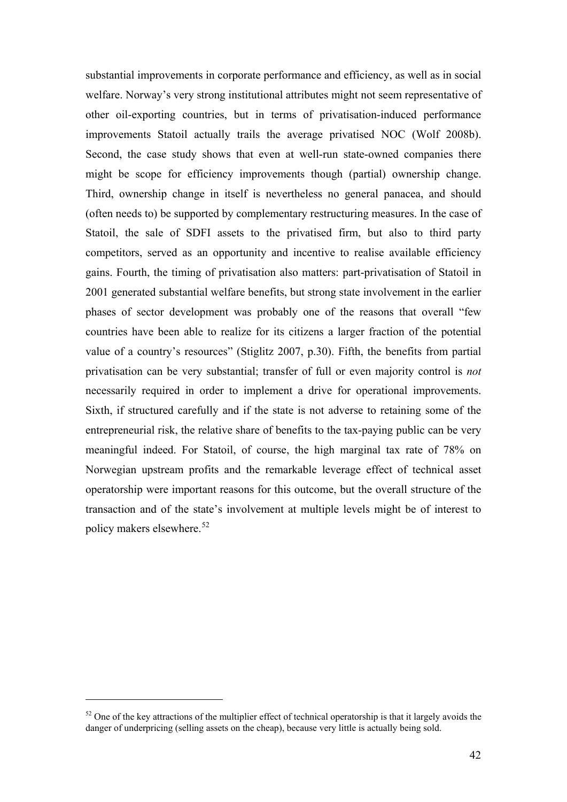<span id="page-42-0"></span>substantial improvements in corporate performance and efficiency, as well as in social welfare. Norway's very strong institutional attributes might not seem representative of other oil-exporting countries, but in terms of privatisation-induced performance improvements Statoil actually trails the average privatised NOC (Wolf 2008b). Second, the case study shows that even at well-run state-owned companies there might be scope for efficiency improvements though (partial) ownership change. Third, ownership change in itself is nevertheless no general panacea, and should (often needs to) be supported by complementary restructuring measures. In the case of Statoil, the sale of SDFI assets to the privatised firm, but also to third party competitors, served as an opportunity and incentive to realise available efficiency gains. Fourth, the timing of privatisation also matters: part-privatisation of Statoil in 2001 generated substantial welfare benefits, but strong state involvement in the earlier phases of sector development was probably one of the reasons that overall "few countries have been able to realize for its citizens a larger fraction of the potential value of a country's resources" (Stiglitz 2007, p.30). Fifth, the benefits from partial privatisation can be very substantial; transfer of full or even majority control is *not* necessarily required in order to implement a drive for operational improvements. Sixth, if structured carefully and if the state is not adverse to retaining some of the entrepreneurial risk, the relative share of benefits to the tax-paying public can be very meaningful indeed. For Statoil, of course, the high marginal tax rate of 78% on Norwegian upstream profits and the remarkable leverage effect of technical asset operatorship were important reasons for this outcome, but the overall structure of the transaction and of the state's involvement at multiple levels might be of interest to policy makers elsewhere.[52](#page-42-0)

 $52$  One of the key attractions of the multiplier effect of technical operatorship is that it largely avoids the danger of underpricing (selling assets on the cheap), because very little is actually being sold.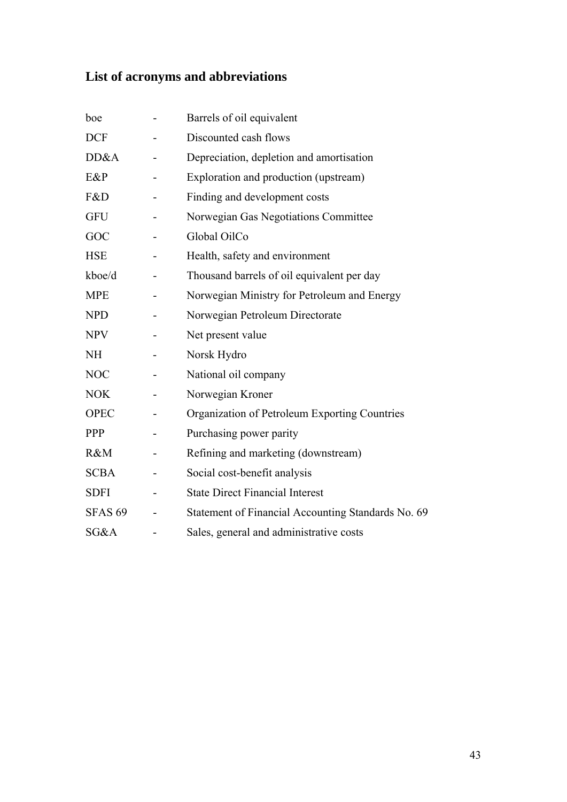## **List of acronyms and abbreviations**

| boe            | Barrels of oil equivalent                          |
|----------------|----------------------------------------------------|
| <b>DCF</b>     | Discounted cash flows                              |
| DD&A           | Depreciation, depletion and amortisation           |
| E&P            | Exploration and production (upstream)              |
| F&D            | Finding and development costs                      |
| <b>GFU</b>     | Norwegian Gas Negotiations Committee               |
| GOC            | Global OilCo                                       |
| <b>HSE</b>     | Health, safety and environment                     |
| kboe/d         | Thousand barrels of oil equivalent per day         |
| <b>MPE</b>     | Norwegian Ministry for Petroleum and Energy        |
| <b>NPD</b>     | Norwegian Petroleum Directorate                    |
| <b>NPV</b>     | Net present value                                  |
| <b>NH</b>      | Norsk Hydro                                        |
| <b>NOC</b>     | National oil company                               |
| <b>NOK</b>     | Norwegian Kroner                                   |
| <b>OPEC</b>    | Organization of Petroleum Exporting Countries      |
| <b>PPP</b>     | Purchasing power parity                            |
| R&M            | Refining and marketing (downstream)                |
| <b>SCBA</b>    | Social cost-benefit analysis                       |
| <b>SDFI</b>    | <b>State Direct Financial Interest</b>             |
| <b>SFAS 69</b> | Statement of Financial Accounting Standards No. 69 |
| SG&A           | Sales, general and administrative costs            |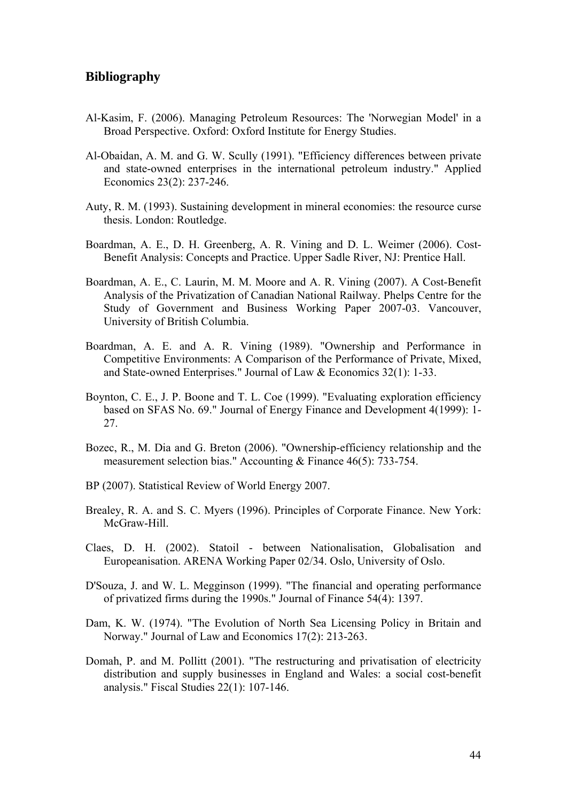## **Bibliography**

- Al-Kasim, F. (2006). Managing Petroleum Resources: The 'Norwegian Model' in a Broad Perspective. Oxford: Oxford Institute for Energy Studies.
- Al-Obaidan, A. M. and G. W. Scully (1991). "Efficiency differences between private and state-owned enterprises in the international petroleum industry." Applied Economics 23(2): 237-246.
- Auty, R. M. (1993). Sustaining development in mineral economies: the resource curse thesis. London: Routledge.
- Boardman, A. E., D. H. Greenberg, A. R. Vining and D. L. Weimer (2006). Cost-Benefit Analysis: Concepts and Practice. Upper Sadle River, NJ: Prentice Hall.
- Boardman, A. E., C. Laurin, M. M. Moore and A. R. Vining (2007). A Cost-Benefit Analysis of the Privatization of Canadian National Railway. Phelps Centre for the Study of Government and Business Working Paper 2007-03. Vancouver, University of British Columbia.
- Boardman, A. E. and A. R. Vining (1989). "Ownership and Performance in Competitive Environments: A Comparison of the Performance of Private, Mixed, and State-owned Enterprises." Journal of Law & Economics 32(1): 1-33.
- Boynton, C. E., J. P. Boone and T. L. Coe (1999). "Evaluating exploration efficiency based on SFAS No. 69." Journal of Energy Finance and Development 4(1999): 1- 27.
- Bozec, R., M. Dia and G. Breton (2006). "Ownership-efficiency relationship and the measurement selection bias." Accounting & Finance 46(5): 733-754.
- BP (2007). Statistical Review of World Energy 2007.
- Brealey, R. A. and S. C. Myers (1996). Principles of Corporate Finance. New York: McGraw-Hill.
- Claes, D. H. (2002). Statoil between Nationalisation, Globalisation and Europeanisation. ARENA Working Paper 02/34. Oslo, University of Oslo.
- D'Souza, J. and W. L. Megginson (1999). "The financial and operating performance of privatized firms during the 1990s." Journal of Finance 54(4): 1397.
- Dam, K. W. (1974). "The Evolution of North Sea Licensing Policy in Britain and Norway." Journal of Law and Economics 17(2): 213-263.
- Domah, P. and M. Pollitt (2001). "The restructuring and privatisation of electricity distribution and supply businesses in England and Wales: a social cost-benefit analysis." Fiscal Studies 22(1): 107-146.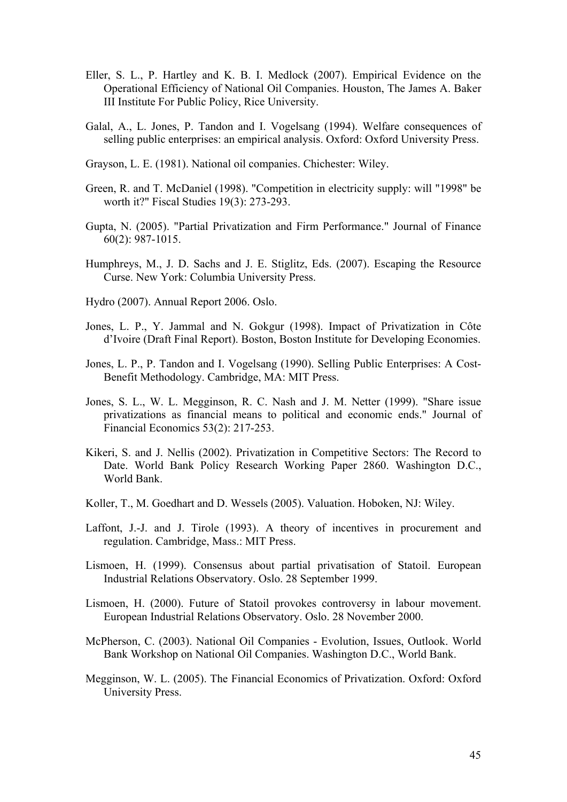- Eller, S. L., P. Hartley and K. B. I. Medlock (2007). Empirical Evidence on the Operational Efficiency of National Oil Companies. Houston, The James A. Baker III Institute For Public Policy, Rice University.
- Galal, A., L. Jones, P. Tandon and I. Vogelsang (1994). Welfare consequences of selling public enterprises: an empirical analysis. Oxford: Oxford University Press.
- Grayson, L. E. (1981). National oil companies. Chichester: Wiley.
- Green, R. and T. McDaniel (1998). "Competition in electricity supply: will "1998" be worth it?" Fiscal Studies 19(3): 273-293.
- Gupta, N. (2005). "Partial Privatization and Firm Performance." Journal of Finance 60(2): 987-1015.
- Humphreys, M., J. D. Sachs and J. E. Stiglitz, Eds. (2007). Escaping the Resource Curse. New York: Columbia University Press.
- Hydro (2007). Annual Report 2006. Oslo.
- Jones, L. P., Y. Jammal and N. Gokgur (1998). Impact of Privatization in Côte d'Ivoire (Draft Final Report). Boston, Boston Institute for Developing Economies.
- Jones, L. P., P. Tandon and I. Vogelsang (1990). Selling Public Enterprises: A Cost-Benefit Methodology. Cambridge, MA: MIT Press.
- Jones, S. L., W. L. Megginson, R. C. Nash and J. M. Netter (1999). "Share issue privatizations as financial means to political and economic ends." Journal of Financial Economics 53(2): 217-253.
- Kikeri, S. and J. Nellis (2002). Privatization in Competitive Sectors: The Record to Date. World Bank Policy Research Working Paper 2860. Washington D.C., World Bank.
- Koller, T., M. Goedhart and D. Wessels (2005). Valuation. Hoboken, NJ: Wiley.
- Laffont, J.-J. and J. Tirole (1993). A theory of incentives in procurement and regulation. Cambridge, Mass.: MIT Press.
- Lismoen, H. (1999). Consensus about partial privatisation of Statoil. European Industrial Relations Observatory. Oslo. 28 September 1999.
- Lismoen, H. (2000). Future of Statoil provokes controversy in labour movement. European Industrial Relations Observatory. Oslo. 28 November 2000.
- McPherson, C. (2003). National Oil Companies Evolution, Issues, Outlook. World Bank Workshop on National Oil Companies. Washington D.C., World Bank.
- Megginson, W. L. (2005). The Financial Economics of Privatization. Oxford: Oxford University Press.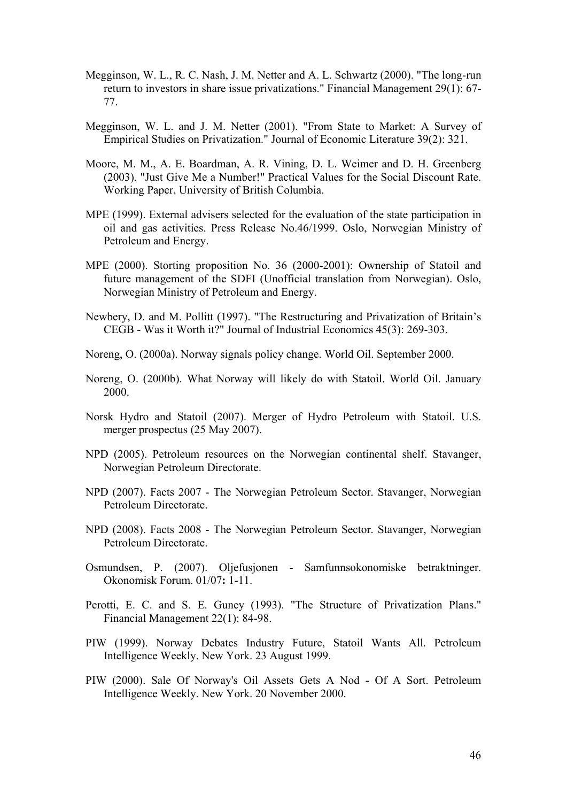- Megginson, W. L., R. C. Nash, J. M. Netter and A. L. Schwartz (2000). "The long-run return to investors in share issue privatizations." Financial Management 29(1): 67- 77.
- Megginson, W. L. and J. M. Netter (2001). "From State to Market: A Survey of Empirical Studies on Privatization." Journal of Economic Literature 39(2): 321.
- Moore, M. M., A. E. Boardman, A. R. Vining, D. L. Weimer and D. H. Greenberg (2003). "Just Give Me a Number!" Practical Values for the Social Discount Rate. Working Paper, University of British Columbia.
- MPE (1999). External advisers selected for the evaluation of the state participation in oil and gas activities. Press Release No.46/1999. Oslo, Norwegian Ministry of Petroleum and Energy.
- MPE (2000). Storting proposition No. 36 (2000-2001): Ownership of Statoil and future management of the SDFI (Unofficial translation from Norwegian). Oslo, Norwegian Ministry of Petroleum and Energy.
- Newbery, D. and M. Pollitt (1997). "The Restructuring and Privatization of Britain's CEGB - Was it Worth it?" Journal of Industrial Economics 45(3): 269-303.
- Noreng, O. (2000a). Norway signals policy change. World Oil. September 2000.
- Noreng, O. (2000b). What Norway will likely do with Statoil. World Oil. January 2000.
- Norsk Hydro and Statoil (2007). Merger of Hydro Petroleum with Statoil. U.S. merger prospectus (25 May 2007).
- NPD (2005). Petroleum resources on the Norwegian continental shelf. Stavanger, Norwegian Petroleum Directorate.
- NPD (2007). Facts 2007 The Norwegian Petroleum Sector. Stavanger, Norwegian Petroleum Directorate.
- NPD (2008). Facts 2008 The Norwegian Petroleum Sector. Stavanger, Norwegian Petroleum Directorate.
- Osmundsen, P. (2007). Oljefusjonen Samfunnsokonomiske betraktninger. Okonomisk Forum. 01/07**:** 1-11.
- Perotti, E. C. and S. E. Guney (1993). "The Structure of Privatization Plans." Financial Management 22(1): 84-98.
- PIW (1999). Norway Debates Industry Future, Statoil Wants All. Petroleum Intelligence Weekly. New York. 23 August 1999.
- PIW (2000). Sale Of Norway's Oil Assets Gets A Nod Of A Sort. Petroleum Intelligence Weekly. New York. 20 November 2000.